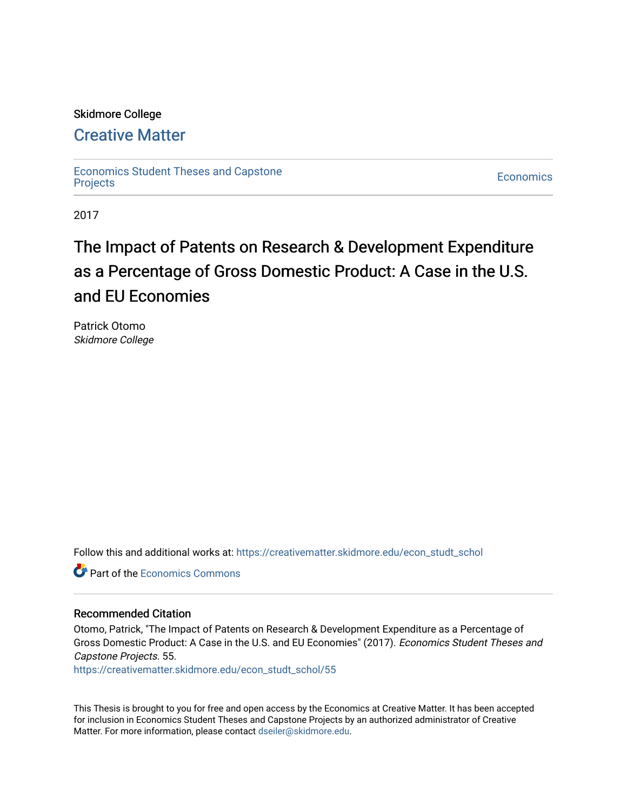# Skidmore College

# [Creative Matter](https://creativematter.skidmore.edu/)

[Economics Student Theses and Capstone](https://creativematter.skidmore.edu/econ_studt_schol)  Leonomics Student Theses and Capstone<br>[Projects](https://creativematter.skidmore.edu/econ_studt_schol)

2017

# The Impact of Patents on Research & Development Expenditure as a Percentage of Gross Domestic Product: A Case in the U.S. and EU Economies

Patrick Otomo Skidmore College

Follow this and additional works at: [https://creativematter.skidmore.edu/econ\\_studt\\_schol](https://creativematter.skidmore.edu/econ_studt_schol?utm_source=creativematter.skidmore.edu%2Fecon_studt_schol%2F55&utm_medium=PDF&utm_campaign=PDFCoverPages) 

**C** Part of the [Economics Commons](http://network.bepress.com/hgg/discipline/340?utm_source=creativematter.skidmore.edu%2Fecon_studt_schol%2F55&utm_medium=PDF&utm_campaign=PDFCoverPages)

# Recommended Citation

Otomo, Patrick, "The Impact of Patents on Research & Development Expenditure as a Percentage of Gross Domestic Product: A Case in the U.S. and EU Economies" (2017). Economics Student Theses and Capstone Projects. 55.

[https://creativematter.skidmore.edu/econ\\_studt\\_schol/55](https://creativematter.skidmore.edu/econ_studt_schol/55?utm_source=creativematter.skidmore.edu%2Fecon_studt_schol%2F55&utm_medium=PDF&utm_campaign=PDFCoverPages)

This Thesis is brought to you for free and open access by the Economics at Creative Matter. It has been accepted for inclusion in Economics Student Theses and Capstone Projects by an authorized administrator of Creative Matter. For more information, please contact [dseiler@skidmore.edu](mailto:dseiler@skidmore.edu).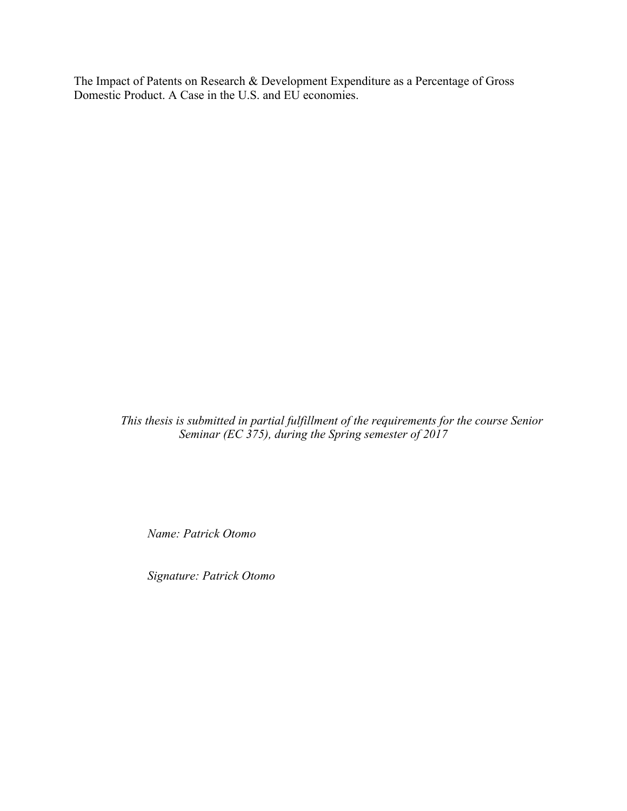The Impact of Patents on Research & Development Expenditure as a Percentage of Gross Domestic Product. A Case in the U.S. and EU economies.

> *This thesis is submitted in partial fulfillment of the requirements for the course Senior Seminar (EC 375), during the Spring semester of 2017*

*Name: Patrick Otomo* 

*Signature: Patrick Otomo*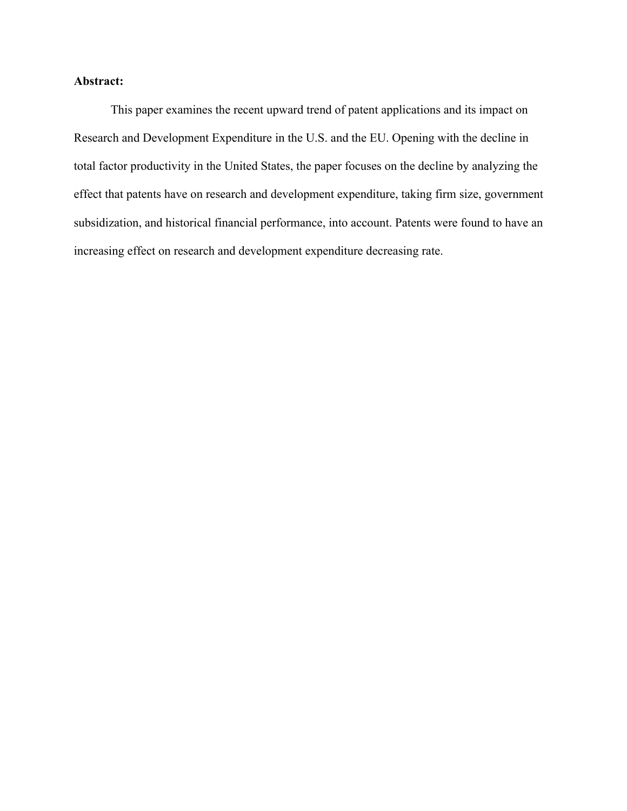# **Abstract:**

This paper examines the recent upward trend of patent applications and its impact on Research and Development Expenditure in the U.S. and the EU. Opening with the decline in total factor productivity in the United States, the paper focuses on the decline by analyzing the effect that patents have on research and development expenditure, taking firm size, government subsidization, and historical financial performance, into account. Patents were found to have an increasing effect on research and development expenditure decreasing rate.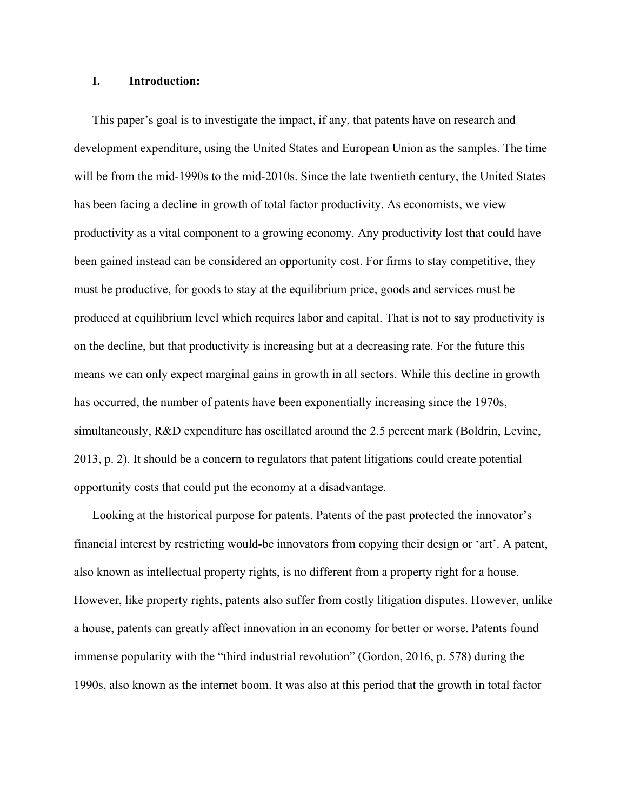# **I. Introduction:**

This paper's goal is to investigate the impact, if any, that patents have on research and development expenditure, using the United States and European Union as the samples. The time will be from the mid-1990s to the mid-2010s. Since the late twentieth century, the United States has been facing a decline in growth of total factor productivity. As economists, we view productivity as a vital component to a growing economy. Any productivity lost that could have been gained instead can be considered an opportunity cost. For firms to stay competitive, they must be productive, for goods to stay at the equilibrium price, goods and services must be produced at equilibrium level which requires labor and capital. That is not to say productivity is on the decline, but that productivity is increasing but at a decreasing rate. For the future this means we can only expect marginal gains in growth in all sectors. While this decline in growth has occurred, the number of patents have been exponentially increasing since the 1970s, simultaneously, R&D expenditure has oscillated around the 2.5 percent mark (Boldrin, Levine, 2013, p. 2). It should be a concern to regulators that patent litigations could create potential opportunity costs that could put the economy at a disadvantage.

Looking at the historical purpose for patents. Patents of the past protected the innovator's financial interest by restricting would-be innovators from copying their design or 'art'. A patent, also known as intellectual property rights, is no different from a property right for a house. However, like property rights, patents also suffer from costly litigation disputes. However, unlike a house, patents can greatly affect innovation in an economy for better or worse. Patents found immense popularity with the "third industrial revolution" (Gordon, 2016, p. 578) during the 1990s, also known as the internet boom. It was also at this period that the growth in total factor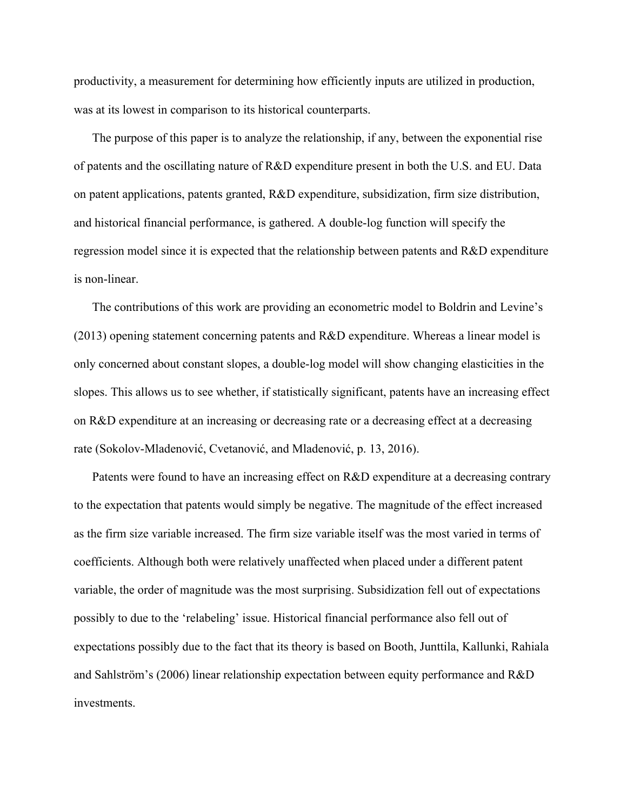productivity, a measurement for determining how efficiently inputs are utilized in production, was at its lowest in comparison to its historical counterparts.

The purpose of this paper is to analyze the relationship, if any, between the exponential rise of patents and the oscillating nature of R&D expenditure present in both the U.S. and EU. Data on patent applications, patents granted, R&D expenditure, subsidization, firm size distribution, and historical financial performance, is gathered. A double-log function will specify the regression model since it is expected that the relationship between patents and R&D expenditure is non-linear.

The contributions of this work are providing an econometric model to Boldrin and Levine's (2013) opening statement concerning patents and R&D expenditure. Whereas a linear model is only concerned about constant slopes, a double-log model will show changing elasticities in the slopes. This allows us to see whether, if statistically significant, patents have an increasing effect on R&D expenditure at an increasing or decreasing rate or a decreasing effect at a decreasing rate (Sokolov-Mladenović, Cvetanović, and Mladenović, p. 13, 2016).

Patents were found to have an increasing effect on R&D expenditure at a decreasing contrary to the expectation that patents would simply be negative. The magnitude of the effect increased as the firm size variable increased. The firm size variable itself was the most varied in terms of coefficients. Although both were relatively unaffected when placed under a different patent variable, the order of magnitude was the most surprising. Subsidization fell out of expectations possibly to due to the 'relabeling' issue. Historical financial performance also fell out of expectations possibly due to the fact that its theory is based on Booth, Junttila, Kallunki, Rahiala and Sahlström's (2006) linear relationship expectation between equity performance and R&D investments.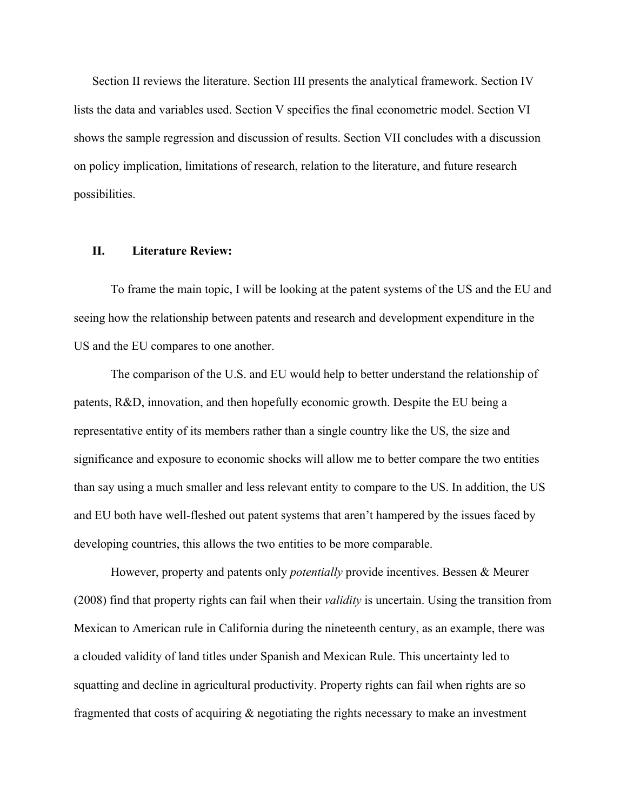Section II reviews the literature. Section III presents the analytical framework. Section IV lists the data and variables used. Section V specifies the final econometric model. Section VI shows the sample regression and discussion of results. Section VII concludes with a discussion on policy implication, limitations of research, relation to the literature, and future research possibilities.

# **II. Literature Review:**

To frame the main topic, I will be looking at the patent systems of the US and the EU and seeing how the relationship between patents and research and development expenditure in the US and the EU compares to one another.

The comparison of the U.S. and EU would help to better understand the relationship of patents, R&D, innovation, and then hopefully economic growth. Despite the EU being a representative entity of its members rather than a single country like the US, the size and significance and exposure to economic shocks will allow me to better compare the two entities than say using a much smaller and less relevant entity to compare to the US. In addition, the US and EU both have well-fleshed out patent systems that aren't hampered by the issues faced by developing countries, this allows the two entities to be more comparable.

However, property and patents only *potentially* provide incentives. Bessen & Meurer (2008) find that property rights can fail when their *validity* is uncertain. Using the transition from Mexican to American rule in California during the nineteenth century, as an example, there was a clouded validity of land titles under Spanish and Mexican Rule. This uncertainty led to squatting and decline in agricultural productivity. Property rights can fail when rights are so fragmented that costs of acquiring & negotiating the rights necessary to make an investment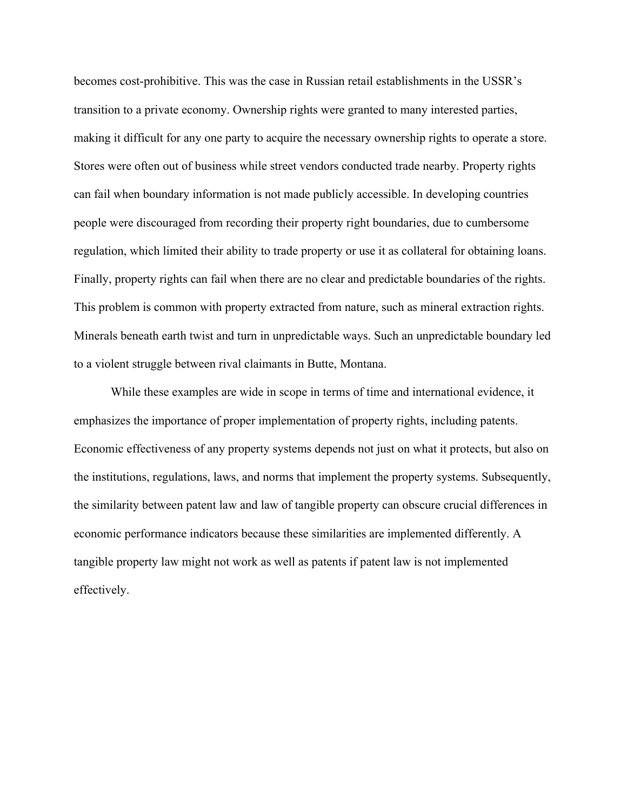becomes cost-prohibitive. This was the case in Russian retail establishments in the USSR's transition to a private economy. Ownership rights were granted to many interested parties, making it difficult for any one party to acquire the necessary ownership rights to operate a store. Stores were often out of business while street vendors conducted trade nearby. Property rights can fail when boundary information is not made publicly accessible. In developing countries people were discouraged from recording their property right boundaries, due to cumbersome regulation, which limited their ability to trade property or use it as collateral for obtaining loans. Finally, property rights can fail when there are no clear and predictable boundaries of the rights. This problem is common with property extracted from nature, such as mineral extraction rights. Minerals beneath earth twist and turn in unpredictable ways. Such an unpredictable boundary led to a violent struggle between rival claimants in Butte, Montana.

While these examples are wide in scope in terms of time and international evidence, it emphasizes the importance of proper implementation of property rights, including patents. Economic effectiveness of any property systems depends not just on what it protects, but also on the institutions, regulations, laws, and norms that implement the property systems. Subsequently, the similarity between patent law and law of tangible property can obscure crucial differences in economic performance indicators because these similarities are implemented differently. A tangible property law might not work as well as patents if patent law is not implemented effectively.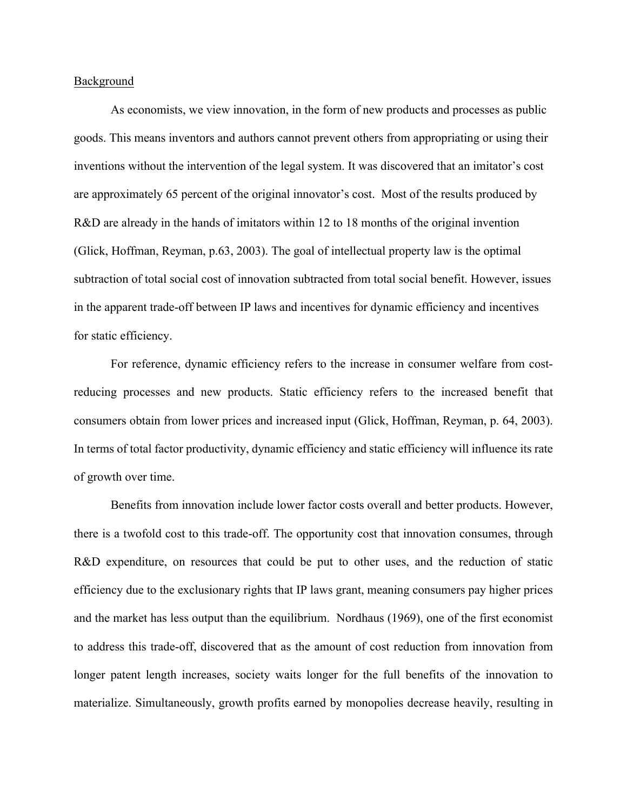## Background

As economists, we view innovation, in the form of new products and processes as public goods. This means inventors and authors cannot prevent others from appropriating or using their inventions without the intervention of the legal system. It was discovered that an imitator's cost are approximately 65 percent of the original innovator's cost. Most of the results produced by R&D are already in the hands of imitators within 12 to 18 months of the original invention (Glick, Hoffman, Reyman, p.63, 2003). The goal of intellectual property law is the optimal subtraction of total social cost of innovation subtracted from total social benefit. However, issues in the apparent trade-off between IP laws and incentives for dynamic efficiency and incentives for static efficiency.

For reference, dynamic efficiency refers to the increase in consumer welfare from costreducing processes and new products. Static efficiency refers to the increased benefit that consumers obtain from lower prices and increased input (Glick, Hoffman, Reyman, p. 64, 2003). In terms of total factor productivity, dynamic efficiency and static efficiency will influence its rate of growth over time.

Benefits from innovation include lower factor costs overall and better products. However, there is a twofold cost to this trade-off. The opportunity cost that innovation consumes, through R&D expenditure, on resources that could be put to other uses, and the reduction of static efficiency due to the exclusionary rights that IP laws grant, meaning consumers pay higher prices and the market has less output than the equilibrium. Nordhaus (1969), one of the first economist to address this trade-off, discovered that as the amount of cost reduction from innovation from longer patent length increases, society waits longer for the full benefits of the innovation to materialize. Simultaneously, growth profits earned by monopolies decrease heavily, resulting in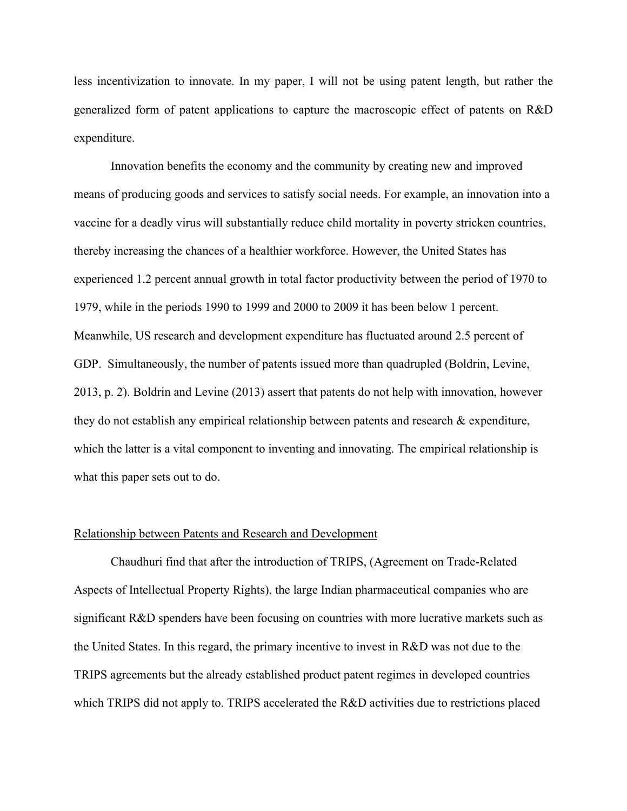less incentivization to innovate. In my paper, I will not be using patent length, but rather the generalized form of patent applications to capture the macroscopic effect of patents on R&D expenditure.

Innovation benefits the economy and the community by creating new and improved means of producing goods and services to satisfy social needs. For example, an innovation into a vaccine for a deadly virus will substantially reduce child mortality in poverty stricken countries, thereby increasing the chances of a healthier workforce. However, the United States has experienced 1.2 percent annual growth in total factor productivity between the period of 1970 to 1979, while in the periods 1990 to 1999 and 2000 to 2009 it has been below 1 percent. Meanwhile, US research and development expenditure has fluctuated around 2.5 percent of GDP. Simultaneously, the number of patents issued more than quadrupled (Boldrin, Levine, 2013, p. 2). Boldrin and Levine (2013) assert that patents do not help with innovation, however they do not establish any empirical relationship between patents and research & expenditure, which the latter is a vital component to inventing and innovating. The empirical relationship is what this paper sets out to do.

# Relationship between Patents and Research and Development

Chaudhuri find that after the introduction of TRIPS, (Agreement on Trade-Related Aspects of Intellectual Property Rights), the large Indian pharmaceutical companies who are significant R&D spenders have been focusing on countries with more lucrative markets such as the United States. In this regard, the primary incentive to invest in R&D was not due to the TRIPS agreements but the already established product patent regimes in developed countries which TRIPS did not apply to. TRIPS accelerated the R&D activities due to restrictions placed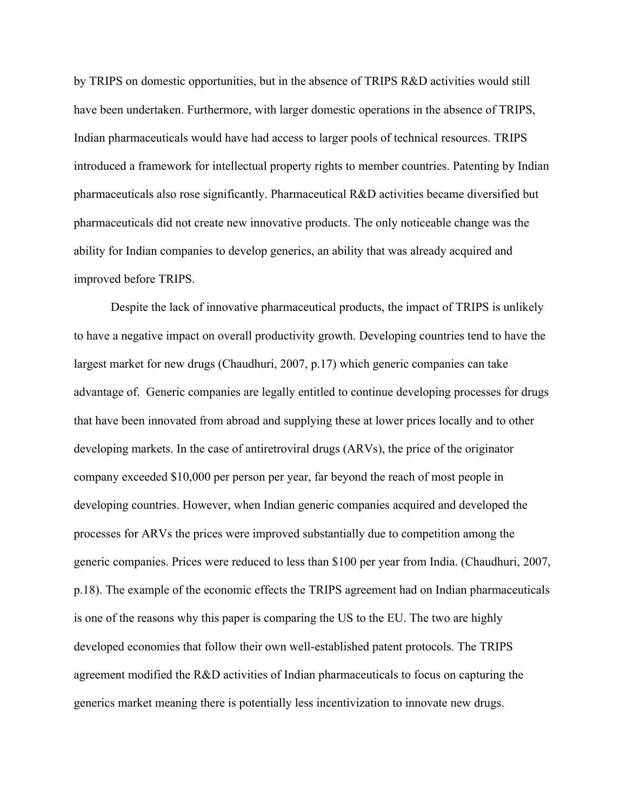by TRIPS on domestic opportunities, but in the absence of TRIPS R&D activities would still have been undertaken. Furthermore, with larger domestic operations in the absence of TRIPS, Indian pharmaceuticals would have had access to larger pools of technical resources. TRIPS introduced a framework for intellectual property rights to member countries. Patenting by Indian pharmaceuticals also rose significantly. Pharmaceutical R&D activities became diversified but pharmaceuticals did not create new innovative products. The only noticeable change was the ability for Indian companies to develop generics, an ability that was already acquired and improved before TRIPS.

 Despite the lack of innovative pharmaceutical products, the impact of TRIPS is unlikely to have a negative impact on overall productivity growth. Developing countries tend to have the largest market for new drugs (Chaudhuri, 2007, p.17) which generic companies can take advantage of. Generic companies are legally entitled to continue developing processes for drugs that have been innovated from abroad and supplying these at lower prices locally and to other developing markets. In the case of antiretroviral drugs (ARVs), the price of the originator company exceeded \$10,000 per person per year, far beyond the reach of most people in developing countries. However, when Indian generic companies acquired and developed the processes for ARVs the prices were improved substantially due to competition among the generic companies. Prices were reduced to less than \$100 per year from India. (Chaudhuri, 2007, p.18). The example of the economic effects the TRIPS agreement had on Indian pharmaceuticals is one of the reasons why this paper is comparing the US to the EU. The two are highly developed economies that follow their own well-established patent protocols. The TRIPS agreement modified the R&D activities of Indian pharmaceuticals to focus on capturing the generics market meaning there is potentially less incentivization to innovate new drugs.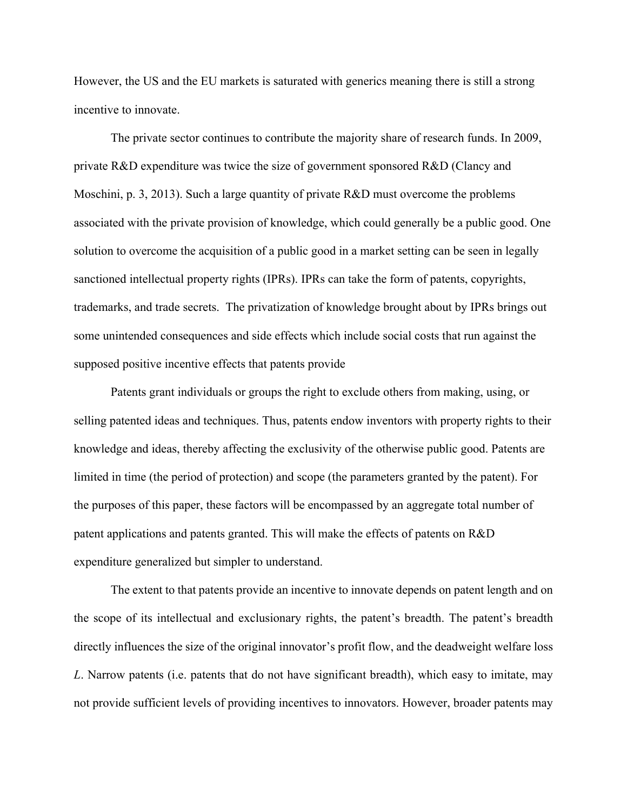However, the US and the EU markets is saturated with generics meaning there is still a strong incentive to innovate.

The private sector continues to contribute the majority share of research funds. In 2009, private R&D expenditure was twice the size of government sponsored R&D (Clancy and Moschini, p. 3, 2013). Such a large quantity of private R&D must overcome the problems associated with the private provision of knowledge, which could generally be a public good. One solution to overcome the acquisition of a public good in a market setting can be seen in legally sanctioned intellectual property rights (IPRs). IPRs can take the form of patents, copyrights, trademarks, and trade secrets. The privatization of knowledge brought about by IPRs brings out some unintended consequences and side effects which include social costs that run against the supposed positive incentive effects that patents provide

Patents grant individuals or groups the right to exclude others from making, using, or selling patented ideas and techniques. Thus, patents endow inventors with property rights to their knowledge and ideas, thereby affecting the exclusivity of the otherwise public good. Patents are limited in time (the period of protection) and scope (the parameters granted by the patent). For the purposes of this paper, these factors will be encompassed by an aggregate total number of patent applications and patents granted. This will make the effects of patents on R&D expenditure generalized but simpler to understand.

The extent to that patents provide an incentive to innovate depends on patent length and on the scope of its intellectual and exclusionary rights, the patent's breadth. The patent's breadth directly influences the size of the original innovator's profit flow, and the deadweight welfare loss *L*. Narrow patents (i.e. patents that do not have significant breadth), which easy to imitate, may not provide sufficient levels of providing incentives to innovators. However, broader patents may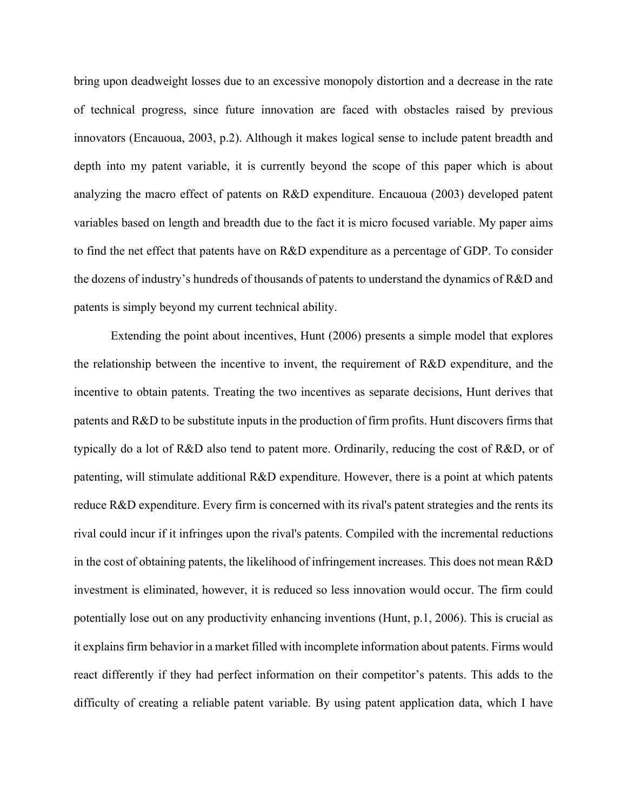bring upon deadweight losses due to an excessive monopoly distortion and a decrease in the rate of technical progress, since future innovation are faced with obstacles raised by previous innovators (Encauoua, 2003, p.2). Although it makes logical sense to include patent breadth and depth into my patent variable, it is currently beyond the scope of this paper which is about analyzing the macro effect of patents on R&D expenditure. Encauoua (2003) developed patent variables based on length and breadth due to the fact it is micro focused variable. My paper aims to find the net effect that patents have on R&D expenditure as a percentage of GDP. To consider the dozens of industry's hundreds of thousands of patents to understand the dynamics of R&D and patents is simply beyond my current technical ability.

Extending the point about incentives, Hunt (2006) presents a simple model that explores the relationship between the incentive to invent, the requirement of R&D expenditure, and the incentive to obtain patents. Treating the two incentives as separate decisions, Hunt derives that patents and R&D to be substitute inputs in the production of firm profits. Hunt discovers firms that typically do a lot of R&D also tend to patent more. Ordinarily, reducing the cost of R&D, or of patenting, will stimulate additional R&D expenditure. However, there is a point at which patents reduce R&D expenditure. Every firm is concerned with its rival's patent strategies and the rents its rival could incur if it infringes upon the rival's patents. Compiled with the incremental reductions in the cost of obtaining patents, the likelihood of infringement increases. This does not mean R&D investment is eliminated, however, it is reduced so less innovation would occur. The firm could potentially lose out on any productivity enhancing inventions (Hunt, p.1, 2006). This is crucial as it explains firm behavior in a market filled with incomplete information about patents. Firms would react differently if they had perfect information on their competitor's patents. This adds to the difficulty of creating a reliable patent variable. By using patent application data, which I have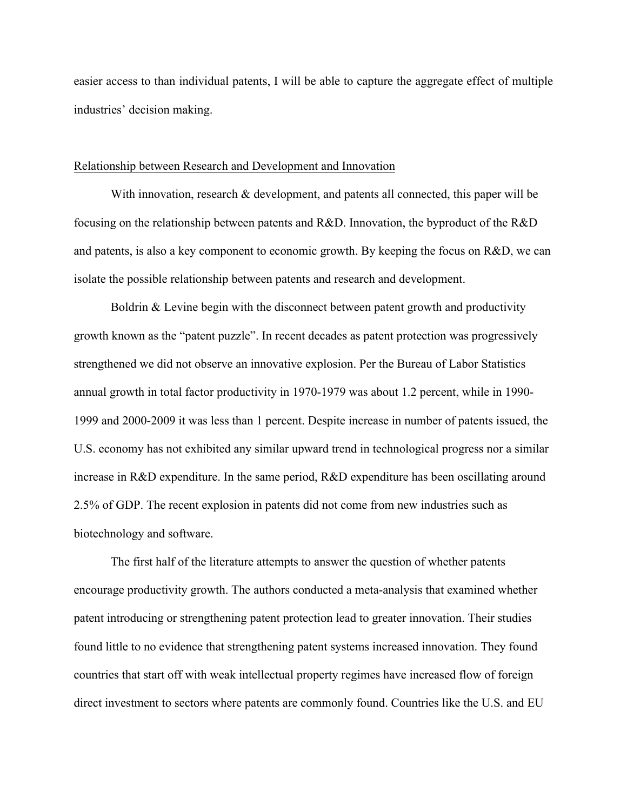easier access to than individual patents, I will be able to capture the aggregate effect of multiple industries' decision making.

# Relationship between Research and Development and Innovation

With innovation, research & development, and patents all connected, this paper will be focusing on the relationship between patents and R&D. Innovation, the byproduct of the R&D and patents, is also a key component to economic growth. By keeping the focus on R&D, we can isolate the possible relationship between patents and research and development.

Boldrin & Levine begin with the disconnect between patent growth and productivity growth known as the "patent puzzle". In recent decades as patent protection was progressively strengthened we did not observe an innovative explosion. Per the Bureau of Labor Statistics annual growth in total factor productivity in 1970-1979 was about 1.2 percent, while in 1990- 1999 and 2000-2009 it was less than 1 percent. Despite increase in number of patents issued, the U.S. economy has not exhibited any similar upward trend in technological progress nor a similar increase in R&D expenditure. In the same period, R&D expenditure has been oscillating around 2.5% of GDP. The recent explosion in patents did not come from new industries such as biotechnology and software.

The first half of the literature attempts to answer the question of whether patents encourage productivity growth. The authors conducted a meta-analysis that examined whether patent introducing or strengthening patent protection lead to greater innovation. Their studies found little to no evidence that strengthening patent systems increased innovation. They found countries that start off with weak intellectual property regimes have increased flow of foreign direct investment to sectors where patents are commonly found. Countries like the U.S. and EU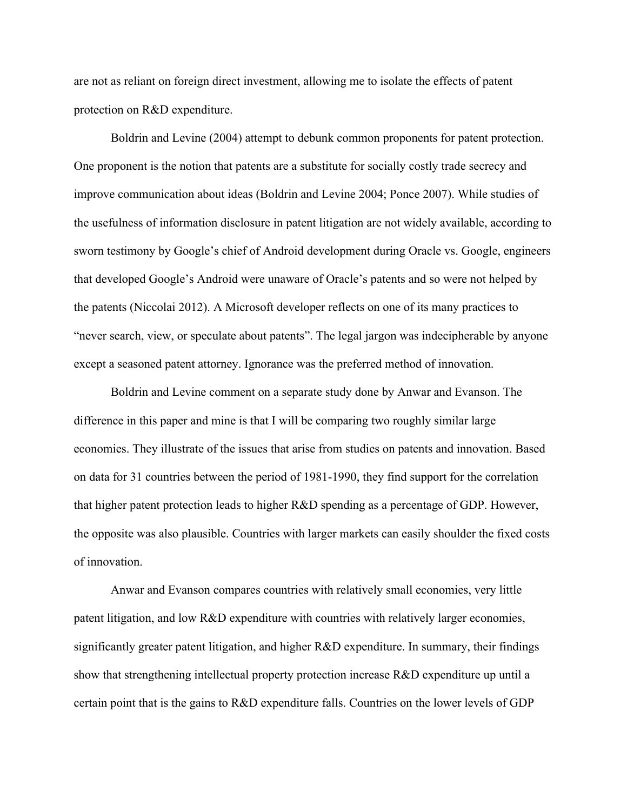are not as reliant on foreign direct investment, allowing me to isolate the effects of patent protection on R&D expenditure.

Boldrin and Levine (2004) attempt to debunk common proponents for patent protection. One proponent is the notion that patents are a substitute for socially costly trade secrecy and improve communication about ideas (Boldrin and Levine 2004; Ponce 2007). While studies of the usefulness of information disclosure in patent litigation are not widely available, according to sworn testimony by Google's chief of Android development during Oracle vs. Google, engineers that developed Google's Android were unaware of Oracle's patents and so were not helped by the patents (Niccolai 2012). A Microsoft developer reflects on one of its many practices to "never search, view, or speculate about patents". The legal jargon was indecipherable by anyone except a seasoned patent attorney. Ignorance was the preferred method of innovation.

Boldrin and Levine comment on a separate study done by Anwar and Evanson. The difference in this paper and mine is that I will be comparing two roughly similar large economies. They illustrate of the issues that arise from studies on patents and innovation. Based on data for 31 countries between the period of 1981-1990, they find support for the correlation that higher patent protection leads to higher R&D spending as a percentage of GDP. However, the opposite was also plausible. Countries with larger markets can easily shoulder the fixed costs of innovation.

Anwar and Evanson compares countries with relatively small economies, very little patent litigation, and low R&D expenditure with countries with relatively larger economies, significantly greater patent litigation, and higher R&D expenditure. In summary, their findings show that strengthening intellectual property protection increase R&D expenditure up until a certain point that is the gains to R&D expenditure falls. Countries on the lower levels of GDP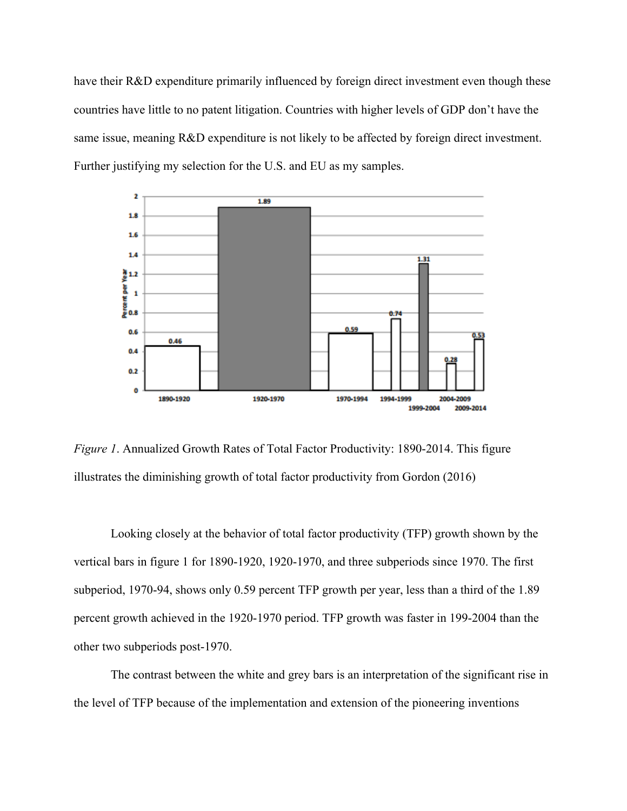have their R&D expenditure primarily influenced by foreign direct investment even though these countries have little to no patent litigation. Countries with higher levels of GDP don't have the same issue, meaning R&D expenditure is not likely to be affected by foreign direct investment. Further justifying my selection for the U.S. and EU as my samples.



*Figure 1*. Annualized Growth Rates of Total Factor Productivity: 1890-2014. This figure illustrates the diminishing growth of total factor productivity from Gordon (2016)

Looking closely at the behavior of total factor productivity (TFP) growth shown by the vertical bars in figure 1 for 1890-1920, 1920-1970, and three subperiods since 1970. The first subperiod, 1970-94, shows only 0.59 percent TFP growth per year, less than a third of the 1.89 percent growth achieved in the 1920-1970 period. TFP growth was faster in 199-2004 than the other two subperiods post-1970.

The contrast between the white and grey bars is an interpretation of the significant rise in the level of TFP because of the implementation and extension of the pioneering inventions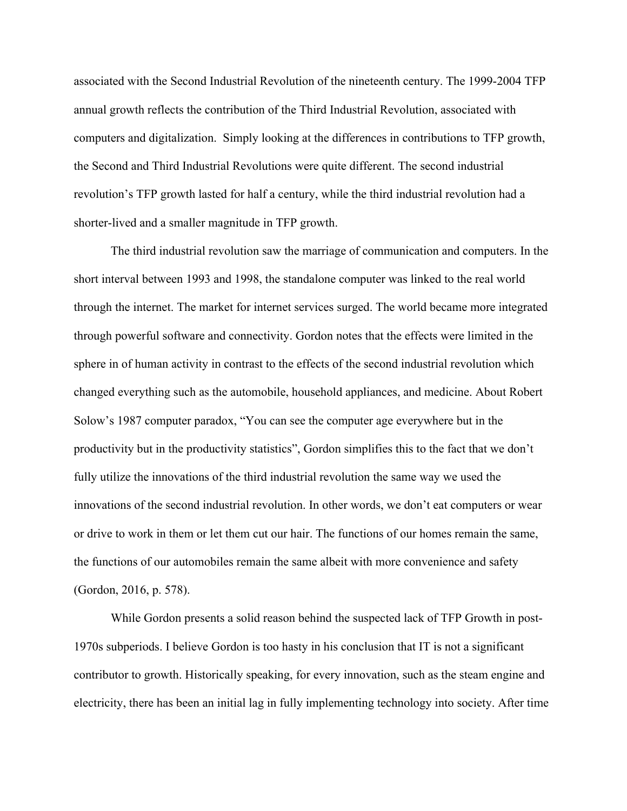associated with the Second Industrial Revolution of the nineteenth century. The 1999-2004 TFP annual growth reflects the contribution of the Third Industrial Revolution, associated with computers and digitalization. Simply looking at the differences in contributions to TFP growth, the Second and Third Industrial Revolutions were quite different. The second industrial revolution's TFP growth lasted for half a century, while the third industrial revolution had a shorter-lived and a smaller magnitude in TFP growth.

The third industrial revolution saw the marriage of communication and computers. In the short interval between 1993 and 1998, the standalone computer was linked to the real world through the internet. The market for internet services surged. The world became more integrated through powerful software and connectivity. Gordon notes that the effects were limited in the sphere in of human activity in contrast to the effects of the second industrial revolution which changed everything such as the automobile, household appliances, and medicine. About Robert Solow's 1987 computer paradox, "You can see the computer age everywhere but in the productivity but in the productivity statistics", Gordon simplifies this to the fact that we don't fully utilize the innovations of the third industrial revolution the same way we used the innovations of the second industrial revolution. In other words, we don't eat computers or wear or drive to work in them or let them cut our hair. The functions of our homes remain the same, the functions of our automobiles remain the same albeit with more convenience and safety (Gordon, 2016, p. 578).

While Gordon presents a solid reason behind the suspected lack of TFP Growth in post-1970s subperiods. I believe Gordon is too hasty in his conclusion that IT is not a significant contributor to growth. Historically speaking, for every innovation, such as the steam engine and electricity, there has been an initial lag in fully implementing technology into society. After time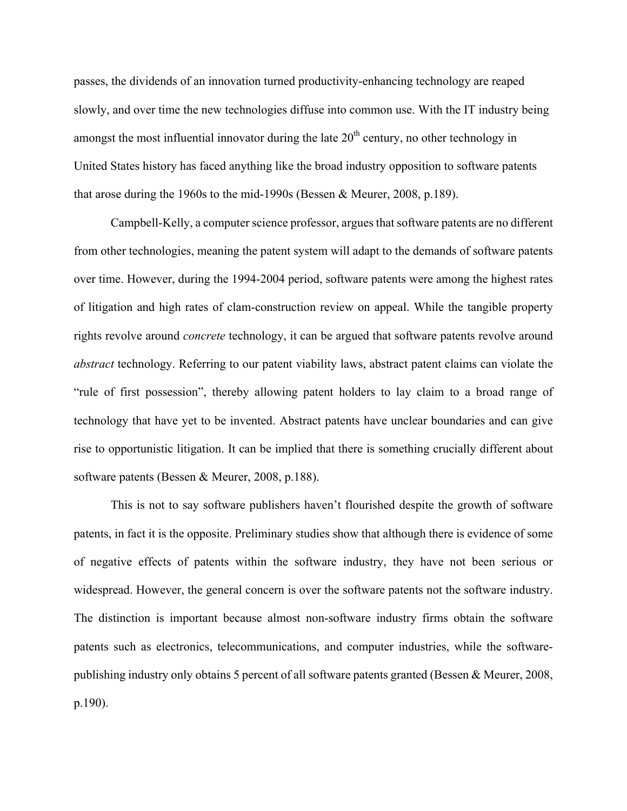passes, the dividends of an innovation turned productivity-enhancing technology are reaped slowly, and over time the new technologies diffuse into common use. With the IT industry being amongst the most influential innovator during the late  $20<sup>th</sup>$  century, no other technology in United States history has faced anything like the broad industry opposition to software patents that arose during the 1960s to the mid-1990s (Bessen & Meurer, 2008, p.189).

Campbell-Kelly, a computer science professor, argues that software patents are no different from other technologies, meaning the patent system will adapt to the demands of software patents over time. However, during the 1994-2004 period, software patents were among the highest rates of litigation and high rates of clam-construction review on appeal. While the tangible property rights revolve around *concrete* technology, it can be argued that software patents revolve around *abstract* technology. Referring to our patent viability laws, abstract patent claims can violate the "rule of first possession", thereby allowing patent holders to lay claim to a broad range of technology that have yet to be invented. Abstract patents have unclear boundaries and can give rise to opportunistic litigation. It can be implied that there is something crucially different about software patents (Bessen & Meurer, 2008, p.188).

This is not to say software publishers haven't flourished despite the growth of software patents, in fact it is the opposite. Preliminary studies show that although there is evidence of some of negative effects of patents within the software industry, they have not been serious or widespread. However, the general concern is over the software patents not the software industry. The distinction is important because almost non-software industry firms obtain the software patents such as electronics, telecommunications, and computer industries, while the softwarepublishing industry only obtains 5 percent of all software patents granted (Bessen & Meurer, 2008, p.190).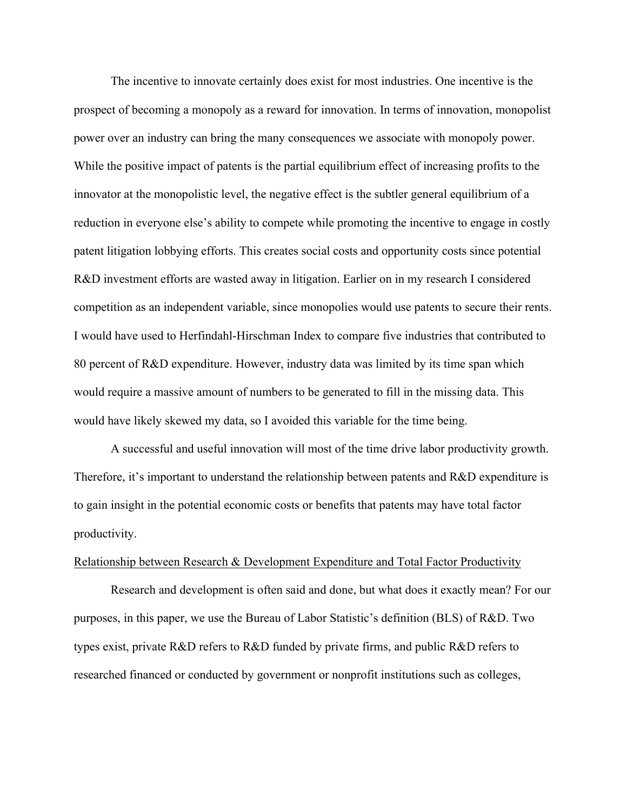The incentive to innovate certainly does exist for most industries. One incentive is the prospect of becoming a monopoly as a reward for innovation. In terms of innovation, monopolist power over an industry can bring the many consequences we associate with monopoly power. While the positive impact of patents is the partial equilibrium effect of increasing profits to the innovator at the monopolistic level, the negative effect is the subtler general equilibrium of a reduction in everyone else's ability to compete while promoting the incentive to engage in costly patent litigation lobbying efforts. This creates social costs and opportunity costs since potential R&D investment efforts are wasted away in litigation. Earlier on in my research I considered competition as an independent variable, since monopolies would use patents to secure their rents. I would have used to Herfindahl-Hirschman Index to compare five industries that contributed to 80 percent of R&D expenditure. However, industry data was limited by its time span which would require a massive amount of numbers to be generated to fill in the missing data. This would have likely skewed my data, so I avoided this variable for the time being.

A successful and useful innovation will most of the time drive labor productivity growth. Therefore, it's important to understand the relationship between patents and R&D expenditure is to gain insight in the potential economic costs or benefits that patents may have total factor productivity.

# Relationship between Research & Development Expenditure and Total Factor Productivity

Research and development is often said and done, but what does it exactly mean? For our purposes, in this paper, we use the Bureau of Labor Statistic's definition (BLS) of R&D. Two types exist, private R&D refers to R&D funded by private firms, and public R&D refers to researched financed or conducted by government or nonprofit institutions such as colleges,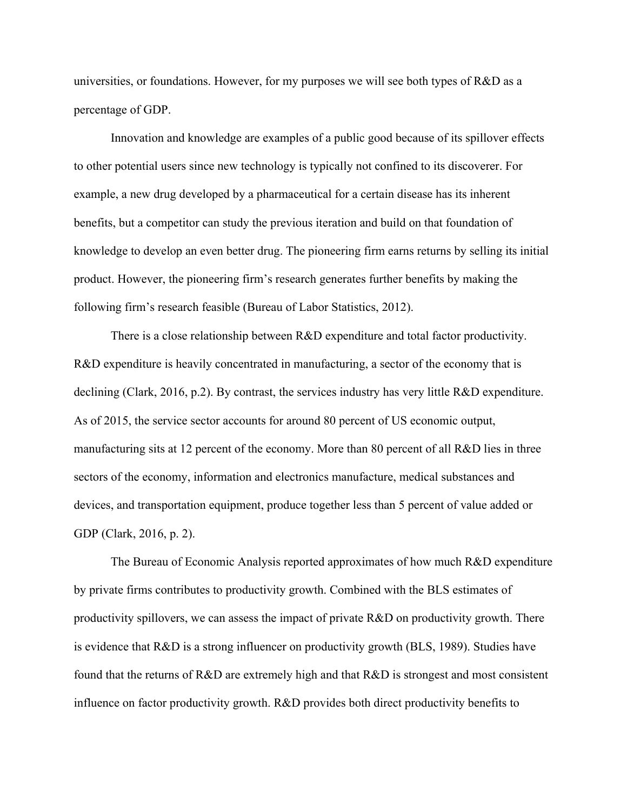universities, or foundations. However, for my purposes we will see both types of R&D as a percentage of GDP.

Innovation and knowledge are examples of a public good because of its spillover effects to other potential users since new technology is typically not confined to its discoverer. For example, a new drug developed by a pharmaceutical for a certain disease has its inherent benefits, but a competitor can study the previous iteration and build on that foundation of knowledge to develop an even better drug. The pioneering firm earns returns by selling its initial product. However, the pioneering firm's research generates further benefits by making the following firm's research feasible (Bureau of Labor Statistics, 2012).

There is a close relationship between R&D expenditure and total factor productivity. R&D expenditure is heavily concentrated in manufacturing, a sector of the economy that is declining (Clark, 2016, p.2). By contrast, the services industry has very little R&D expenditure. As of 2015, the service sector accounts for around 80 percent of US economic output, manufacturing sits at 12 percent of the economy. More than 80 percent of all R&D lies in three sectors of the economy, information and electronics manufacture, medical substances and devices, and transportation equipment, produce together less than 5 percent of value added or GDP (Clark, 2016, p. 2).

 The Bureau of Economic Analysis reported approximates of how much R&D expenditure by private firms contributes to productivity growth. Combined with the BLS estimates of productivity spillovers, we can assess the impact of private R&D on productivity growth. There is evidence that R&D is a strong influencer on productivity growth (BLS, 1989). Studies have found that the returns of R&D are extremely high and that R&D is strongest and most consistent influence on factor productivity growth. R&D provides both direct productivity benefits to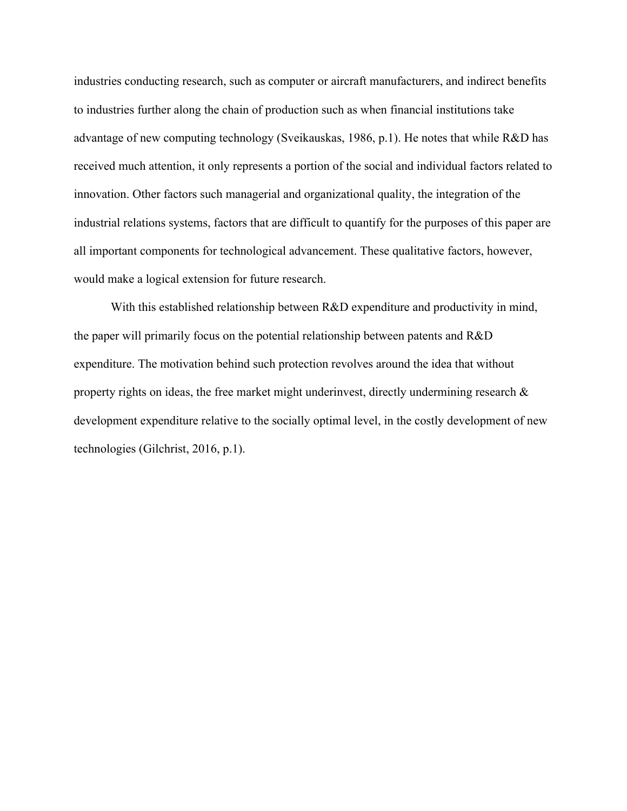industries conducting research, such as computer or aircraft manufacturers, and indirect benefits to industries further along the chain of production such as when financial institutions take advantage of new computing technology (Sveikauskas, 1986, p.1). He notes that while R&D has received much attention, it only represents a portion of the social and individual factors related to innovation. Other factors such managerial and organizational quality, the integration of the industrial relations systems, factors that are difficult to quantify for the purposes of this paper are all important components for technological advancement. These qualitative factors, however, would make a logical extension for future research.

With this established relationship between R&D expenditure and productivity in mind, the paper will primarily focus on the potential relationship between patents and R&D expenditure. The motivation behind such protection revolves around the idea that without property rights on ideas, the free market might underinvest, directly undermining research  $\&$ development expenditure relative to the socially optimal level, in the costly development of new technologies (Gilchrist, 2016, p.1).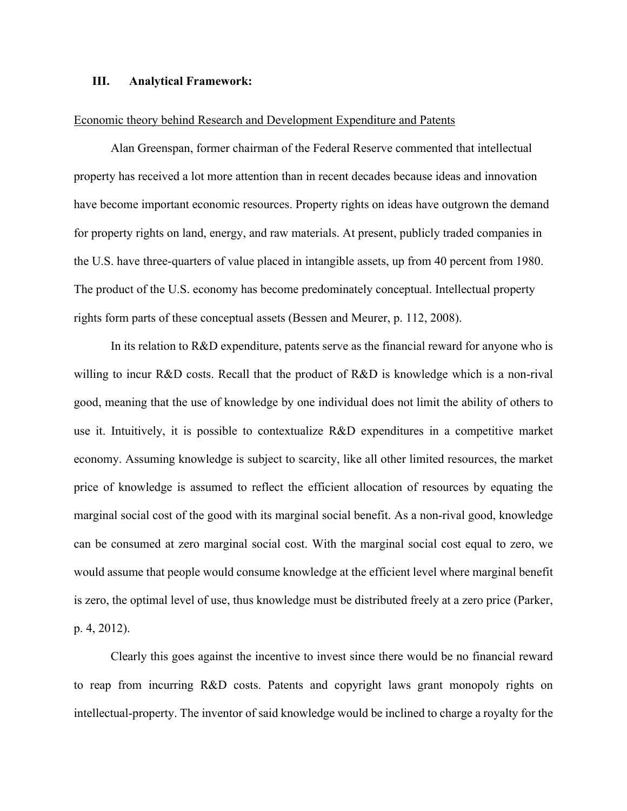# **III. Analytical Framework:**

#### Economic theory behind Research and Development Expenditure and Patents

 Alan Greenspan, former chairman of the Federal Reserve commented that intellectual property has received a lot more attention than in recent decades because ideas and innovation have become important economic resources. Property rights on ideas have outgrown the demand for property rights on land, energy, and raw materials. At present, publicly traded companies in the U.S. have three-quarters of value placed in intangible assets, up from 40 percent from 1980. The product of the U.S. economy has become predominately conceptual. Intellectual property rights form parts of these conceptual assets (Bessen and Meurer, p. 112, 2008).

In its relation to R&D expenditure, patents serve as the financial reward for anyone who is willing to incur R&D costs. Recall that the product of R&D is knowledge which is a non-rival good, meaning that the use of knowledge by one individual does not limit the ability of others to use it. Intuitively, it is possible to contextualize R&D expenditures in a competitive market economy. Assuming knowledge is subject to scarcity, like all other limited resources, the market price of knowledge is assumed to reflect the efficient allocation of resources by equating the marginal social cost of the good with its marginal social benefit. As a non-rival good, knowledge can be consumed at zero marginal social cost. With the marginal social cost equal to zero, we would assume that people would consume knowledge at the efficient level where marginal benefit is zero, the optimal level of use, thus knowledge must be distributed freely at a zero price (Parker, p. 4, 2012).

Clearly this goes against the incentive to invest since there would be no financial reward to reap from incurring R&D costs. Patents and copyright laws grant monopoly rights on intellectual-property. The inventor of said knowledge would be inclined to charge a royalty for the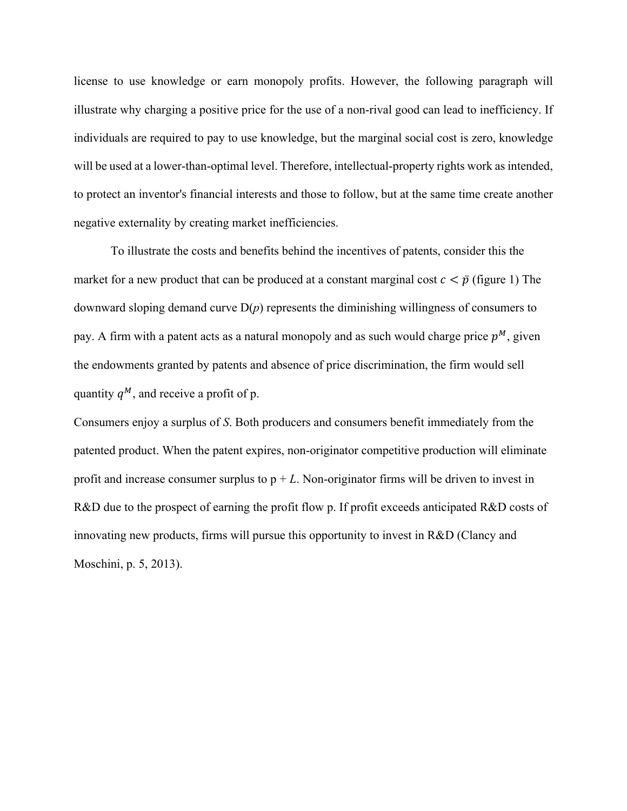license to use knowledge or earn monopoly profits. However, the following paragraph will illustrate why charging a positive price for the use of a non-rival good can lead to inefficiency. If individuals are required to pay to use knowledge, but the marginal social cost is zero, knowledge will be used at a lower-than-optimal level. Therefore, intellectual-property rights work as intended, to protect an inventor's financial interests and those to follow, but at the same time create another negative externality by creating market inefficiencies.

 To illustrate the costs and benefits behind the incentives of patents, consider this the market for a new product that can be produced at a constant marginal cost  $c < \bar{p}$  (figure 1) The downward sloping demand curve D(*p*) represents the diminishing willingness of consumers to pay. A firm with a patent acts as a natural monopoly and as such would charge price  $p^M$ , given the endowments granted by patents and absence of price discrimination, the firm would sell quantity  $q^M$ , and receive a profit of p.

Consumers enjoy a surplus of *S*. Both producers and consumers benefit immediately from the patented product. When the patent expires, non-originator competitive production will eliminate profit and increase consumer surplus to  $p + L$ . Non-originator firms will be driven to invest in R&D due to the prospect of earning the profit flow p. If profit exceeds anticipated R&D costs of innovating new products, firms will pursue this opportunity to invest in R&D (Clancy and Moschini, p. 5, 2013).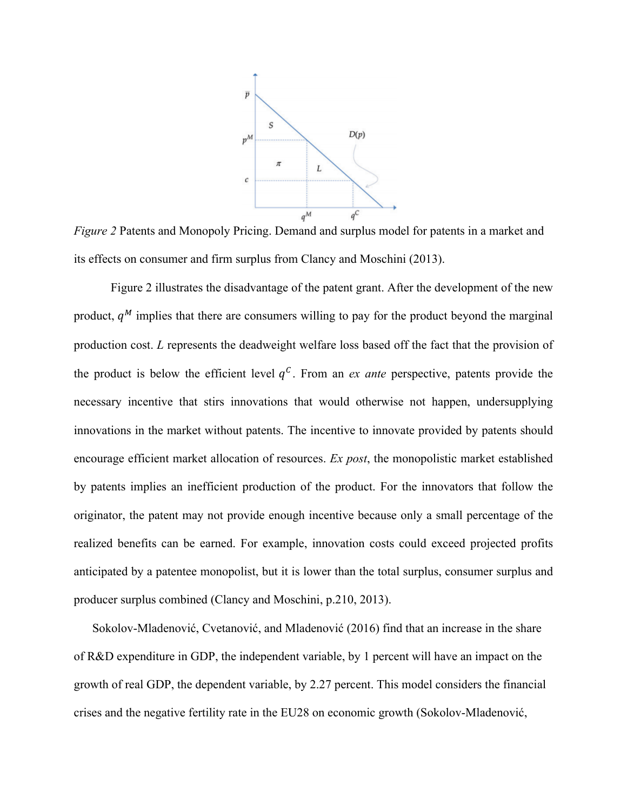

*Figure 2* Patents and Monopoly Pricing. Demand and surplus model for patents in a market and its effects on consumer and firm surplus from Clancy and Moschini (2013).

Figure 2 illustrates the disadvantage of the patent grant. After the development of the new product,  $q<sup>M</sup>$  implies that there are consumers willing to pay for the product beyond the marginal production cost. *L* represents the deadweight welfare loss based off the fact that the provision of the product is below the efficient level  $q<sup>c</sup>$ . From an *ex ante* perspective, patents provide the necessary incentive that stirs innovations that would otherwise not happen, undersupplying innovations in the market without patents. The incentive to innovate provided by patents should encourage efficient market allocation of resources. *Ex post*, the monopolistic market established by patents implies an inefficient production of the product. For the innovators that follow the originator, the patent may not provide enough incentive because only a small percentage of the realized benefits can be earned. For example, innovation costs could exceed projected profits anticipated by a patentee monopolist, but it is lower than the total surplus, consumer surplus and producer surplus combined (Clancy and Moschini, p.210, 2013).

Sokolov-Mladenović, Cvetanović, and Mladenović (2016) find that an increase in the share of R&D expenditure in GDP, the independent variable, by 1 percent will have an impact on the growth of real GDP, the dependent variable, by 2.27 percent. This model considers the financial crises and the negative fertility rate in the EU28 on economic growth (Sokolov-Mladenović,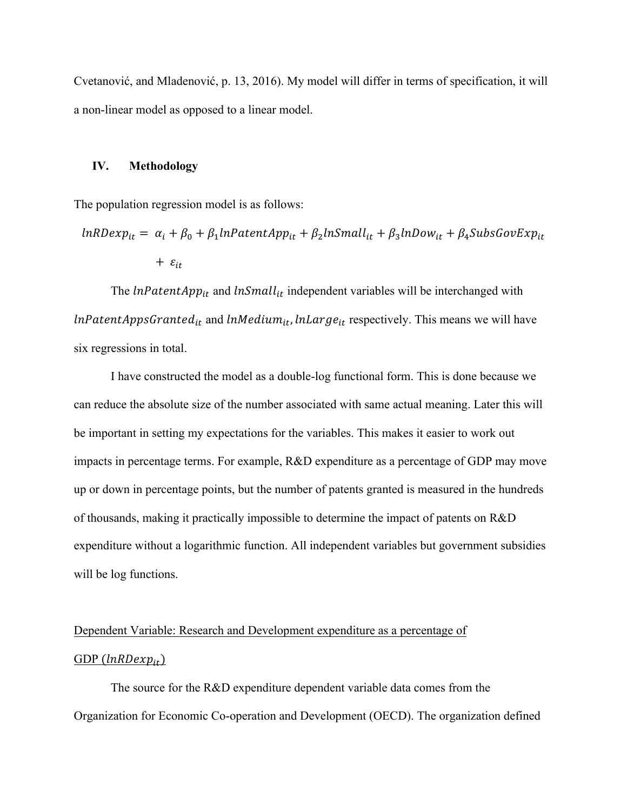Cvetanović, and Mladenović, p. 13, 2016). My model will differ in terms of specification, it will a non-linear model as opposed to a linear model.

#### **IV. Methodology**

The population regression model is as follows:

$$
ln RDexp_{it} = \alpha_i + \beta_0 + \beta_1 ln PatentApp_{it} + \beta_2 lnSmall_{it} + \beta_3 ln Dow_{it} + \beta_4 Subs GovExp_{it}
$$
  
+  $\varepsilon_{it}$ 

The  $lnPatentApp_{it}$  and  $lnSmall_{it}$  independent variables will be interchanged with  $lnPatentAppsGranted_{it}$  and  $lnMedium_{it}$ ,  $lnLarge_{it}$  respectively. This means we will have six regressions in total.

 I have constructed the model as a double-log functional form. This is done because we can reduce the absolute size of the number associated with same actual meaning. Later this will be important in setting my expectations for the variables. This makes it easier to work out impacts in percentage terms. For example, R&D expenditure as a percentage of GDP may move up or down in percentage points, but the number of patents granted is measured in the hundreds of thousands, making it practically impossible to determine the impact of patents on R&D expenditure without a logarithmic function. All independent variables but government subsidies will be log functions.

# Dependent Variable: Research and Development expenditure as a percentage of GDP  $(lnRDexp_{it})$

 The source for the R&D expenditure dependent variable data comes from the Organization for Economic Co-operation and Development (OECD). The organization defined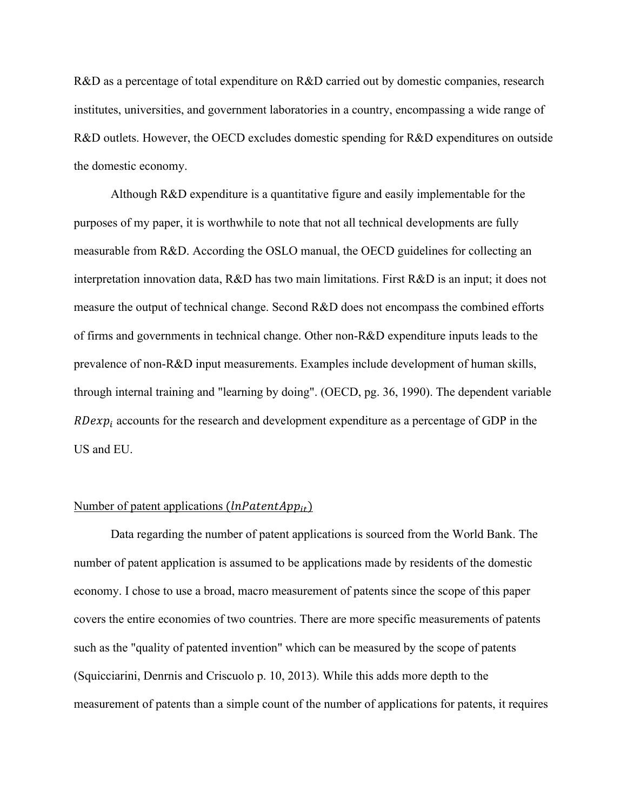R&D as a percentage of total expenditure on R&D carried out by domestic companies, research institutes, universities, and government laboratories in a country, encompassing a wide range of R&D outlets. However, the OECD excludes domestic spending for R&D expenditures on outside the domestic economy.

 Although R&D expenditure is a quantitative figure and easily implementable for the purposes of my paper, it is worthwhile to note that not all technical developments are fully measurable from R&D. According the OSLO manual, the OECD guidelines for collecting an interpretation innovation data, R&D has two main limitations. First R&D is an input; it does not measure the output of technical change. Second R&D does not encompass the combined efforts of firms and governments in technical change. Other non-R&D expenditure inputs leads to the prevalence of non-R&D input measurements. Examples include development of human skills, through internal training and "learning by doing". (OECD, pg. 36, 1990). The dependent variable  $RDexp<sub>i</sub>$  accounts for the research and development expenditure as a percentage of GDP in the US and EU.

# Number of patent applications  $(lnPatentApp_{it})$

 Data regarding the number of patent applications is sourced from the World Bank. The number of patent application is assumed to be applications made by residents of the domestic economy. I chose to use a broad, macro measurement of patents since the scope of this paper covers the entire economies of two countries. There are more specific measurements of patents such as the "quality of patented invention" which can be measured by the scope of patents (Squicciarini, Denrnis and Criscuolo p. 10, 2013). While this adds more depth to the measurement of patents than a simple count of the number of applications for patents, it requires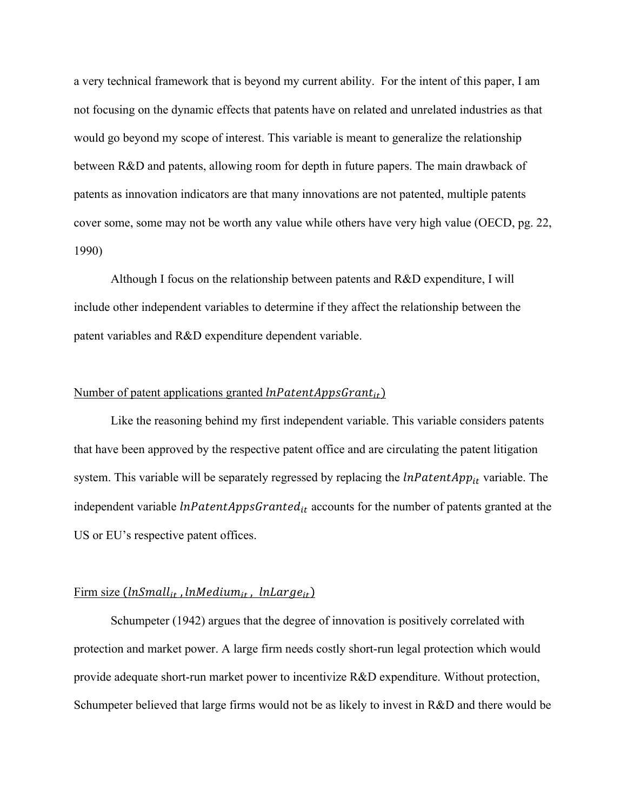a very technical framework that is beyond my current ability. For the intent of this paper, I am not focusing on the dynamic effects that patents have on related and unrelated industries as that would go beyond my scope of interest. This variable is meant to generalize the relationship between R&D and patents, allowing room for depth in future papers. The main drawback of patents as innovation indicators are that many innovations are not patented, multiple patents cover some, some may not be worth any value while others have very high value (OECD, pg. 22, 1990)

Although I focus on the relationship between patents and R&D expenditure, I will include other independent variables to determine if they affect the relationship between the patent variables and R&D expenditure dependent variable.

# Number of patent applications granted  $lnPatentApproxGrant_{it})$

 Like the reasoning behind my first independent variable. This variable considers patents that have been approved by the respective patent office and are circulating the patent litigation system. This variable will be separately regressed by replacing the  $lnPatentApp_{it}$  variable. The independent variable  $lnPatentAppsGranted_{it}$  accounts for the number of patents granted at the US or EU's respective patent offices.

# Firm size  $(lnSmall_{it}$ , lnMedium<sub>it</sub>, lnLarge<sub>it</sub>)

 Schumpeter (1942) argues that the degree of innovation is positively correlated with protection and market power. A large firm needs costly short-run legal protection which would provide adequate short-run market power to incentivize R&D expenditure. Without protection, Schumpeter believed that large firms would not be as likely to invest in R&D and there would be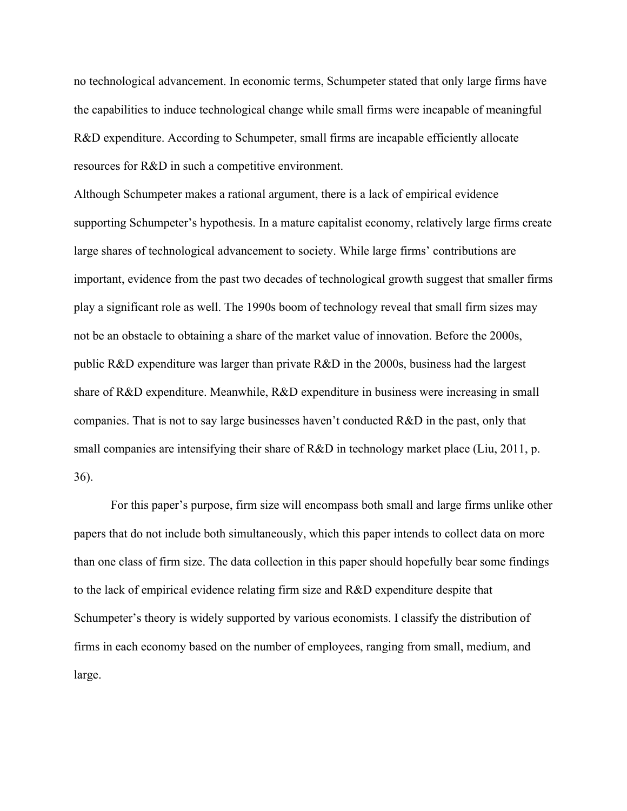no technological advancement. In economic terms, Schumpeter stated that only large firms have the capabilities to induce technological change while small firms were incapable of meaningful R&D expenditure. According to Schumpeter, small firms are incapable efficiently allocate resources for R&D in such a competitive environment.

Although Schumpeter makes a rational argument, there is a lack of empirical evidence supporting Schumpeter's hypothesis. In a mature capitalist economy, relatively large firms create large shares of technological advancement to society. While large firms' contributions are important, evidence from the past two decades of technological growth suggest that smaller firms play a significant role as well. The 1990s boom of technology reveal that small firm sizes may not be an obstacle to obtaining a share of the market value of innovation. Before the 2000s, public R&D expenditure was larger than private R&D in the 2000s, business had the largest share of R&D expenditure. Meanwhile, R&D expenditure in business were increasing in small companies. That is not to say large businesses haven't conducted R&D in the past, only that small companies are intensifying their share of R&D in technology market place (Liu, 2011, p. 36).

For this paper's purpose, firm size will encompass both small and large firms unlike other papers that do not include both simultaneously, which this paper intends to collect data on more than one class of firm size. The data collection in this paper should hopefully bear some findings to the lack of empirical evidence relating firm size and R&D expenditure despite that Schumpeter's theory is widely supported by various economists. I classify the distribution of firms in each economy based on the number of employees, ranging from small, medium, and large.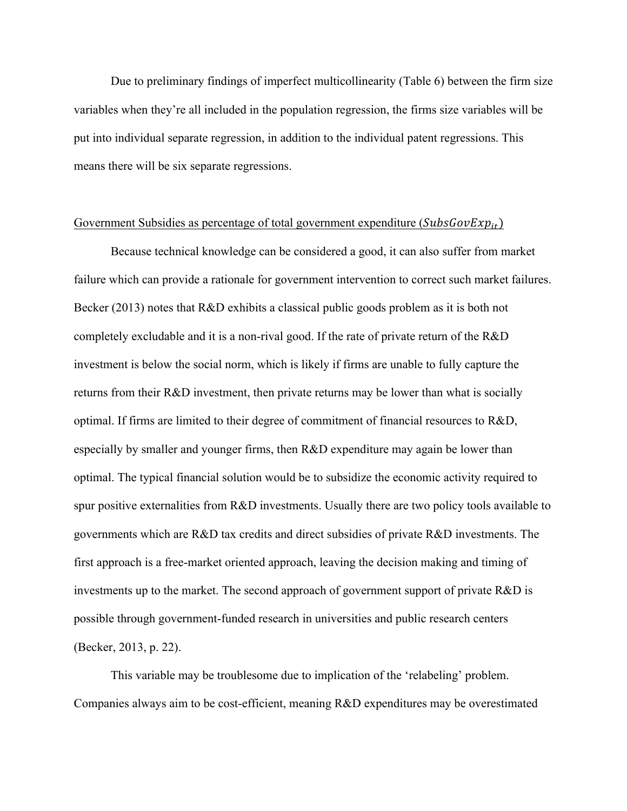Due to preliminary findings of imperfect multicollinearity (Table 6) between the firm size variables when they're all included in the population regression, the firms size variables will be put into individual separate regression, in addition to the individual patent regressions. This means there will be six separate regressions.

# Government Subsidies as percentage of total government expenditure ( $SubsGovExp_{it}$ )

Because technical knowledge can be considered a good, it can also suffer from market failure which can provide a rationale for government intervention to correct such market failures. Becker (2013) notes that R&D exhibits a classical public goods problem as it is both not completely excludable and it is a non-rival good. If the rate of private return of the R&D investment is below the social norm, which is likely if firms are unable to fully capture the returns from their R&D investment, then private returns may be lower than what is socially optimal. If firms are limited to their degree of commitment of financial resources to R&D, especially by smaller and younger firms, then R&D expenditure may again be lower than optimal. The typical financial solution would be to subsidize the economic activity required to spur positive externalities from R&D investments. Usually there are two policy tools available to governments which are R&D tax credits and direct subsidies of private R&D investments. The first approach is a free-market oriented approach, leaving the decision making and timing of investments up to the market. The second approach of government support of private R&D is possible through government-funded research in universities and public research centers (Becker, 2013, p. 22).

This variable may be troublesome due to implication of the 'relabeling' problem. Companies always aim to be cost-efficient, meaning R&D expenditures may be overestimated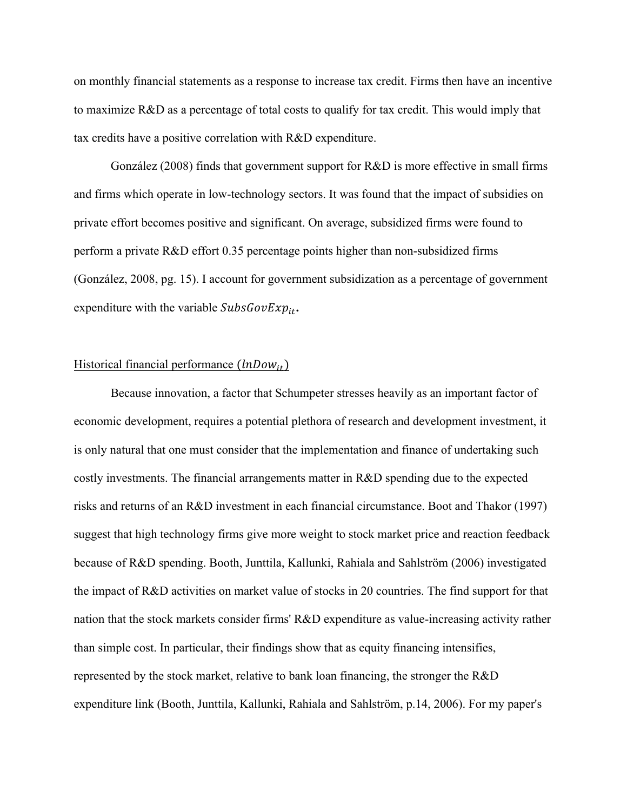on monthly financial statements as a response to increase tax credit. Firms then have an incentive to maximize R&D as a percentage of total costs to qualify for tax credit. This would imply that tax credits have a positive correlation with R&D expenditure.

 González (2008) finds that government support for R&D is more effective in small firms and firms which operate in low-technology sectors. It was found that the impact of subsidies on private effort becomes positive and significant. On average, subsidized firms were found to perform a private R&D effort 0.35 percentage points higher than non-subsidized firms (González, 2008, pg. 15). I account for government subsidization as a percentage of government expenditure with the variable  $SubsGovExp_{it}$ .

# Historical financial performance  $(lnDown_{it})$

 Because innovation, a factor that Schumpeter stresses heavily as an important factor of economic development, requires a potential plethora of research and development investment, it is only natural that one must consider that the implementation and finance of undertaking such costly investments. The financial arrangements matter in R&D spending due to the expected risks and returns of an R&D investment in each financial circumstance. Boot and Thakor (1997) suggest that high technology firms give more weight to stock market price and reaction feedback because of R&D spending. Booth, Junttila, Kallunki, Rahiala and Sahlström (2006) investigated the impact of R&D activities on market value of stocks in 20 countries. The find support for that nation that the stock markets consider firms' R&D expenditure as value-increasing activity rather than simple cost. In particular, their findings show that as equity financing intensifies, represented by the stock market, relative to bank loan financing, the stronger the R&D expenditure link (Booth, Junttila, Kallunki, Rahiala and Sahlström, p.14, 2006). For my paper's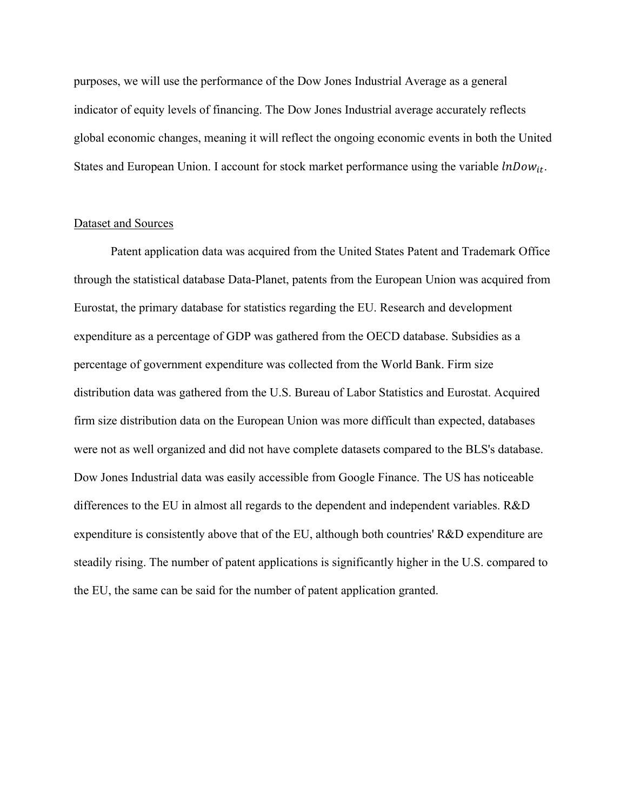purposes, we will use the performance of the Dow Jones Industrial Average as a general indicator of equity levels of financing. The Dow Jones Industrial average accurately reflects global economic changes, meaning it will reflect the ongoing economic events in both the United States and European Union. I account for stock market performance using the variable  $lnDown_{it}$ .

## Dataset and Sources

 Patent application data was acquired from the United States Patent and Trademark Office through the statistical database Data-Planet, patents from the European Union was acquired from Eurostat, the primary database for statistics regarding the EU. Research and development expenditure as a percentage of GDP was gathered from the OECD database. Subsidies as a percentage of government expenditure was collected from the World Bank. Firm size distribution data was gathered from the U.S. Bureau of Labor Statistics and Eurostat. Acquired firm size distribution data on the European Union was more difficult than expected, databases were not as well organized and did not have complete datasets compared to the BLS's database. Dow Jones Industrial data was easily accessible from Google Finance. The US has noticeable differences to the EU in almost all regards to the dependent and independent variables. R&D expenditure is consistently above that of the EU, although both countries' R&D expenditure are steadily rising. The number of patent applications is significantly higher in the U.S. compared to the EU, the same can be said for the number of patent application granted.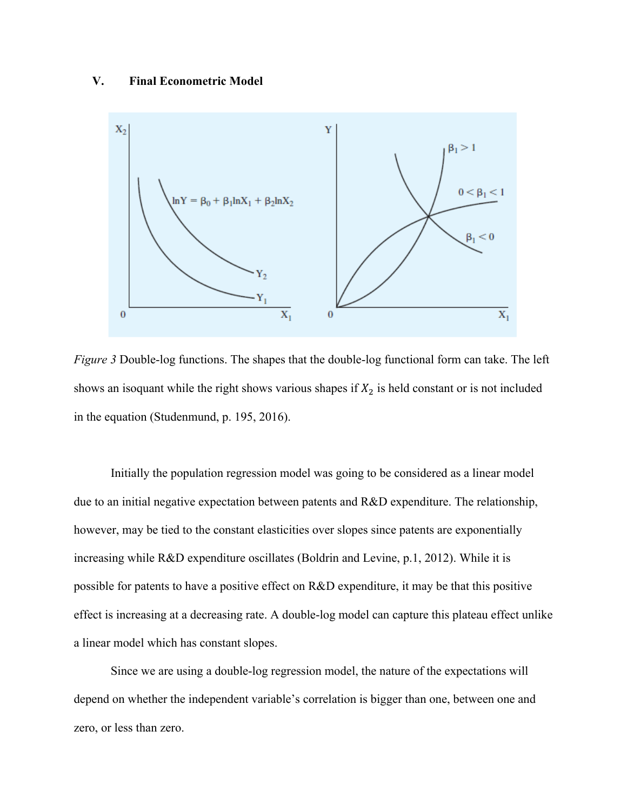# **V. Final Econometric Model**



*Figure 3* Double-log functions. The shapes that the double-log functional form can take. The left shows an isoquant while the right shows various shapes if  $X_2$  is held constant or is not included in the equation (Studenmund, p. 195, 2016).

 Initially the population regression model was going to be considered as a linear model due to an initial negative expectation between patents and R&D expenditure. The relationship, however, may be tied to the constant elasticities over slopes since patents are exponentially increasing while R&D expenditure oscillates (Boldrin and Levine, p.1, 2012). While it is possible for patents to have a positive effect on R&D expenditure, it may be that this positive effect is increasing at a decreasing rate. A double-log model can capture this plateau effect unlike a linear model which has constant slopes.

Since we are using a double-log regression model, the nature of the expectations will depend on whether the independent variable's correlation is bigger than one, between one and zero, or less than zero.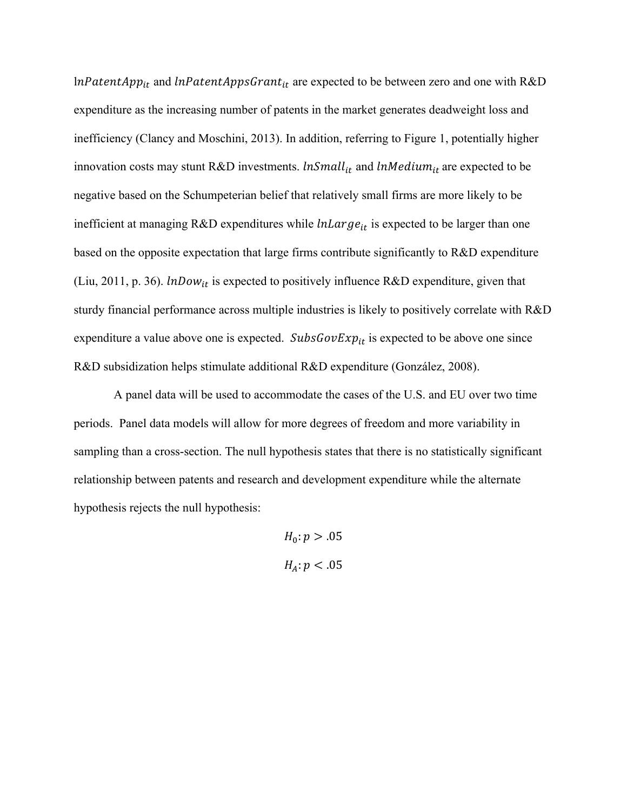$lnPatentApp_{it}$  and  $lnPatentAppsGrant_{it}$  are expected to be between zero and one with R&D expenditure as the increasing number of patents in the market generates deadweight loss and inefficiency (Clancy and Moschini, 2013). In addition, referring to Figure 1, potentially higher innovation costs may stunt R&D investments.  $lnSmall_{it}$  and  $lnMedian_{it}$  are expected to be negative based on the Schumpeterian belief that relatively small firms are more likely to be inefficient at managing R&D expenditures while  $lnLarge_{it}$  is expected to be larger than one based on the opposite expectation that large firms contribute significantly to R&D expenditure (Liu, 2011, p. 36).  $lnDown_{it}$  is expected to positively influence R&D expenditure, given that sturdy financial performance across multiple industries is likely to positively correlate with R&D expenditure a value above one is expected.  $SubsGovExp_{it}$  is expected to be above one since R&D subsidization helps stimulate additional R&D expenditure (González, 2008).

 A panel data will be used to accommodate the cases of the U.S. and EU over two time periods. Panel data models will allow for more degrees of freedom and more variability in sampling than a cross-section. The null hypothesis states that there is no statistically significant relationship between patents and research and development expenditure while the alternate hypothesis rejects the null hypothesis:

> $H_0: p > .05$  $H_{4}: p < .05$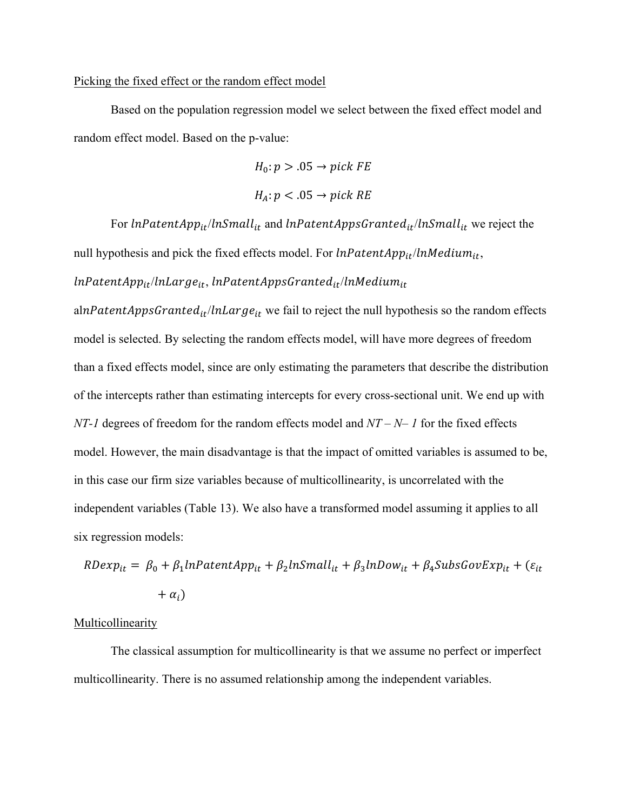# Picking the fixed effect or the random effect model

Based on the population regression model we select between the fixed effect model and random effect model. Based on the p-value:

$$
H_0: p > .05 \rightarrow pick \, FE
$$

$$
H_A: p < .05 \rightarrow pick \, RE
$$

For  $lnPatentApp_{it}/lnSmall_{it}$  and  $lnPatentAppsGranted_{it}/lnSmall_{it}$  we reject the null hypothesis and pick the fixed effects model. For  $lnPatentApp_{it}/lnMedium_{it}$ ,

# $lnPatentApp_{it}/lnLarge_{it}$ ,  $lnPatentAppsGranted_{it}/lnMedium_{it}$

alnPatentAppsGrante $d_{it}/lnLarge_{it}$  we fail to reject the null hypothesis so the random effects model is selected. By selecting the random effects model, will have more degrees of freedom than a fixed effects model, since are only estimating the parameters that describe the distribution of the intercepts rather than estimating intercepts for every cross-sectional unit. We end up with *NT-1* degrees of freedom for the random effects model and *NT – N– 1* for the fixed effects model. However, the main disadvantage is that the impact of omitted variables is assumed to be, in this case our firm size variables because of multicollinearity, is uncorrelated with the independent variables (Table 13). We also have a transformed model assuming it applies to all six regression models:

 $RDevp_{it} = \beta_0 + \beta_1 ln PatentApp_{it} + \beta_2 lnSmall_{it} + \beta_3 lnDown_{it} + \beta_4 Subs GovExp_{it} + (\varepsilon_{it}$  $+\alpha_i$ 

# Multicollinearity

 The classical assumption for multicollinearity is that we assume no perfect or imperfect multicollinearity. There is no assumed relationship among the independent variables.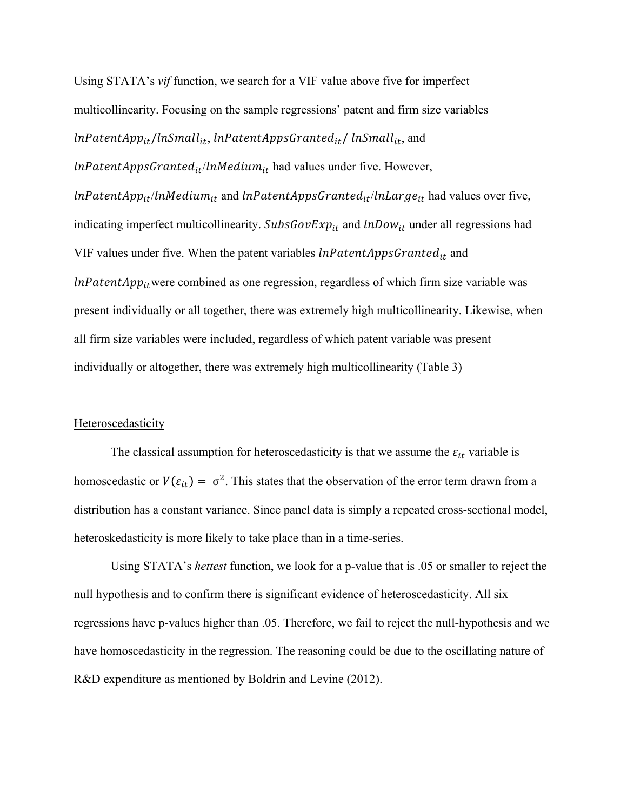Using STATA's *vif* function, we search for a VIF value above five for imperfect multicollinearity. Focusing on the sample regressions' patent and firm size variables  $lnPatentApp_{it}/lnSmall_{it}$ ,  $lnPatentAppsGranted_{it}/lnSmall_{it}$ , and  $lnPatentAppsGranted_{it}/lnMedian_{it}$  had values under five. However,  $lnPatentApp_{it}/ln Medium_{it}$  and  $lnPatentAppsGranted_{it}/lnLarge_{it}$  had values over five, indicating imperfect multicollinearity.  $SubsGovExp_{it}$  and  $lnDown_{it}$  under all regressions had VIF values under five. When the patent variables  $lnPatentAppsGranted_{it}$  and  $lnPatentApp_{it}$  were combined as one regression, regardless of which firm size variable was present individually or all together, there was extremely high multicollinearity. Likewise, when all firm size variables were included, regardless of which patent variable was present individually or altogether, there was extremely high multicollinearity (Table 3)

### Heteroscedasticity

The classical assumption for heteroscedasticity is that we assume the  $\varepsilon_{it}$  variable is homoscedastic or  $V(\varepsilon_{it}) = \sigma^2$ . This states that the observation of the error term drawn from a distribution has a constant variance. Since panel data is simply a repeated cross-sectional model, heteroskedasticity is more likely to take place than in a time-series.

 Using STATA's *hettest* function, we look for a p-value that is .05 or smaller to reject the null hypothesis and to confirm there is significant evidence of heteroscedasticity. All six regressions have p-values higher than .05. Therefore, we fail to reject the null-hypothesis and we have homoscedasticity in the regression. The reasoning could be due to the oscillating nature of R&D expenditure as mentioned by Boldrin and Levine (2012).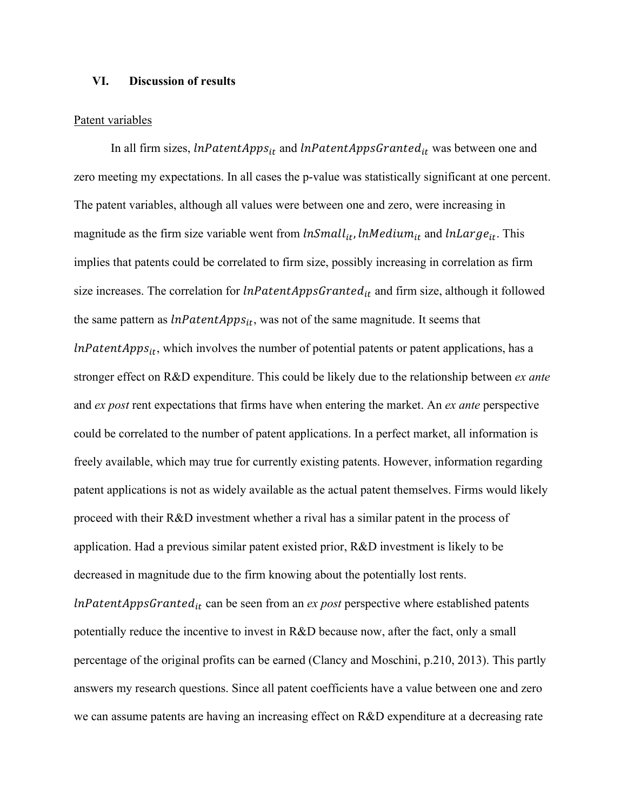# **VI. Discussion of results**

#### Patent variables

In all firm sizes,  $lnPatentApps<sub>it</sub>$  and  $lnPatentAppsGranted<sub>it</sub>$  was between one and zero meeting my expectations. In all cases the p-value was statistically significant at one percent. The patent variables, although all values were between one and zero, were increasing in magnitude as the firm size variable went from  $lnSmall_{it}$ ,  $lnMedian_{it}$  and  $lnLarge_{it}$ . This implies that patents could be correlated to firm size, possibly increasing in correlation as firm size increases. The correlation for  $lnPatentAppsGranted_{it}$  and firm size, although it followed the same pattern as  $lnPatentApps_{it}$ , was not of the same magnitude. It seems that  $lnPatent Apps<sub>it</sub>$ , which involves the number of potential patents or patent applications, has a stronger effect on R&D expenditure. This could be likely due to the relationship between *ex ante*  and *ex post* rent expectations that firms have when entering the market. An *ex ante* perspective could be correlated to the number of patent applications. In a perfect market, all information is freely available, which may true for currently existing patents. However, information regarding patent applications is not as widely available as the actual patent themselves. Firms would likely proceed with their R&D investment whether a rival has a similar patent in the process of application. Had a previous similar patent existed prior, R&D investment is likely to be decreased in magnitude due to the firm knowing about the potentially lost rents.  $lnPatentAppsGranted_{it}$  can be seen from an  $ex$  *post* perspective where established patents potentially reduce the incentive to invest in R&D because now, after the fact, only a small percentage of the original profits can be earned (Clancy and Moschini, p.210, 2013). This partly answers my research questions. Since all patent coefficients have a value between one and zero

we can assume patents are having an increasing effect on R&D expenditure at a decreasing rate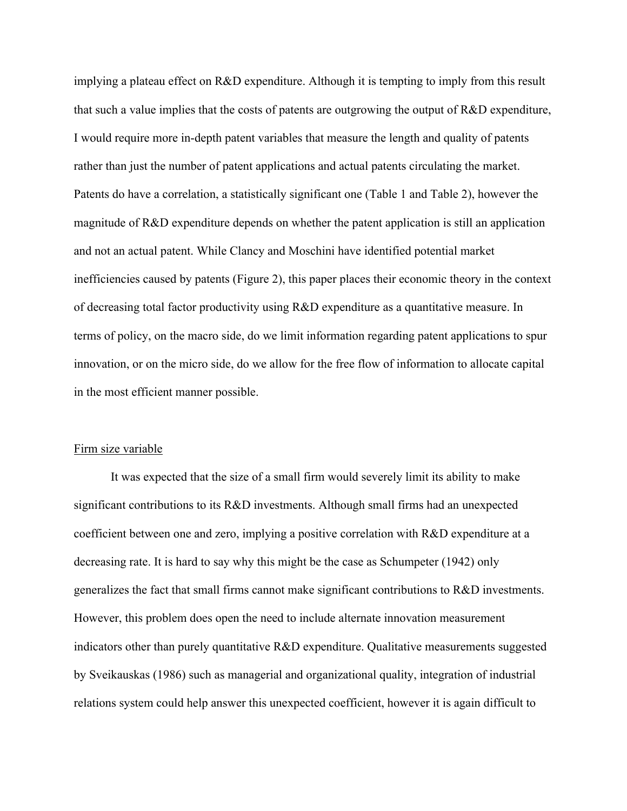implying a plateau effect on R&D expenditure. Although it is tempting to imply from this result that such a value implies that the costs of patents are outgrowing the output of R&D expenditure, I would require more in-depth patent variables that measure the length and quality of patents rather than just the number of patent applications and actual patents circulating the market. Patents do have a correlation, a statistically significant one (Table 1 and Table 2), however the magnitude of R&D expenditure depends on whether the patent application is still an application and not an actual patent. While Clancy and Moschini have identified potential market inefficiencies caused by patents (Figure 2), this paper places their economic theory in the context of decreasing total factor productivity using R&D expenditure as a quantitative measure. In terms of policy, on the macro side, do we limit information regarding patent applications to spur innovation, or on the micro side, do we allow for the free flow of information to allocate capital in the most efficient manner possible.

### Firm size variable

It was expected that the size of a small firm would severely limit its ability to make significant contributions to its R&D investments. Although small firms had an unexpected coefficient between one and zero, implying a positive correlation with R&D expenditure at a decreasing rate. It is hard to say why this might be the case as Schumpeter (1942) only generalizes the fact that small firms cannot make significant contributions to R&D investments. However, this problem does open the need to include alternate innovation measurement indicators other than purely quantitative R&D expenditure. Qualitative measurements suggested by Sveikauskas (1986) such as managerial and organizational quality, integration of industrial relations system could help answer this unexpected coefficient, however it is again difficult to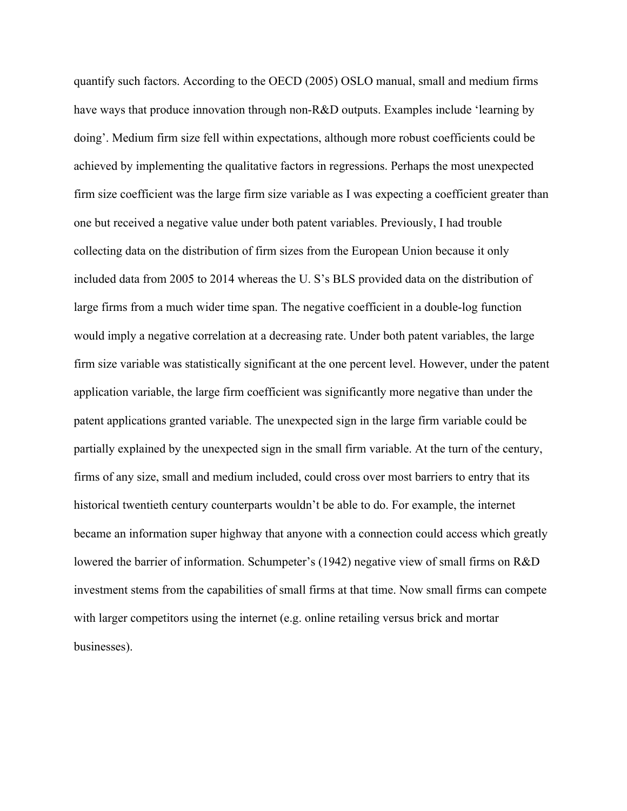quantify such factors. According to the OECD (2005) OSLO manual, small and medium firms have ways that produce innovation through non-R&D outputs. Examples include 'learning by doing'. Medium firm size fell within expectations, although more robust coefficients could be achieved by implementing the qualitative factors in regressions. Perhaps the most unexpected firm size coefficient was the large firm size variable as I was expecting a coefficient greater than one but received a negative value under both patent variables. Previously, I had trouble collecting data on the distribution of firm sizes from the European Union because it only included data from 2005 to 2014 whereas the U. S's BLS provided data on the distribution of large firms from a much wider time span. The negative coefficient in a double-log function would imply a negative correlation at a decreasing rate. Under both patent variables, the large firm size variable was statistically significant at the one percent level. However, under the patent application variable, the large firm coefficient was significantly more negative than under the patent applications granted variable. The unexpected sign in the large firm variable could be partially explained by the unexpected sign in the small firm variable. At the turn of the century, firms of any size, small and medium included, could cross over most barriers to entry that its historical twentieth century counterparts wouldn't be able to do. For example, the internet became an information super highway that anyone with a connection could access which greatly lowered the barrier of information. Schumpeter's (1942) negative view of small firms on R&D investment stems from the capabilities of small firms at that time. Now small firms can compete with larger competitors using the internet (e.g. online retailing versus brick and mortar businesses).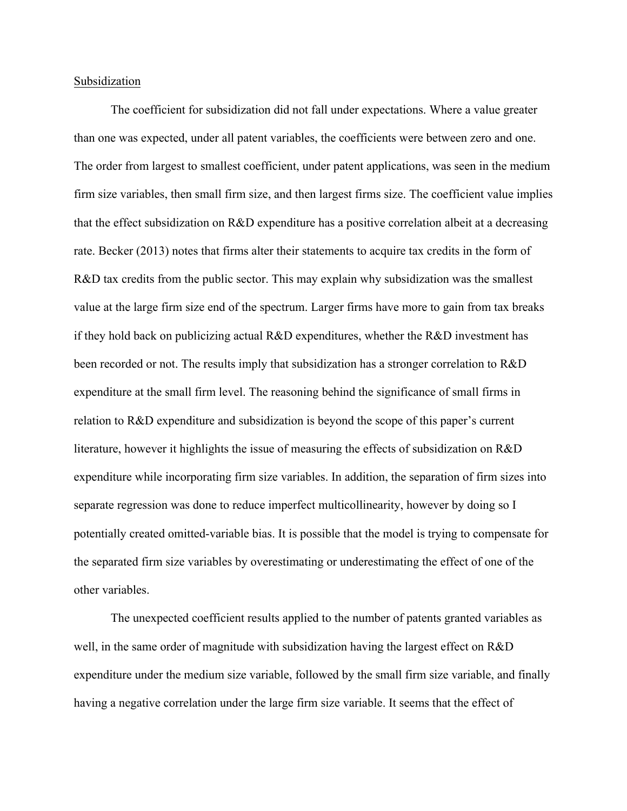# Subsidization

 The coefficient for subsidization did not fall under expectations. Where a value greater than one was expected, under all patent variables, the coefficients were between zero and one. The order from largest to smallest coefficient, under patent applications, was seen in the medium firm size variables, then small firm size, and then largest firms size. The coefficient value implies that the effect subsidization on R&D expenditure has a positive correlation albeit at a decreasing rate. Becker (2013) notes that firms alter their statements to acquire tax credits in the form of R&D tax credits from the public sector. This may explain why subsidization was the smallest value at the large firm size end of the spectrum. Larger firms have more to gain from tax breaks if they hold back on publicizing actual R&D expenditures, whether the R&D investment has been recorded or not. The results imply that subsidization has a stronger correlation to R&D expenditure at the small firm level. The reasoning behind the significance of small firms in relation to R&D expenditure and subsidization is beyond the scope of this paper's current literature, however it highlights the issue of measuring the effects of subsidization on R&D expenditure while incorporating firm size variables. In addition, the separation of firm sizes into separate regression was done to reduce imperfect multicollinearity, however by doing so I potentially created omitted-variable bias. It is possible that the model is trying to compensate for the separated firm size variables by overestimating or underestimating the effect of one of the other variables.

The unexpected coefficient results applied to the number of patents granted variables as well, in the same order of magnitude with subsidization having the largest effect on R&D expenditure under the medium size variable, followed by the small firm size variable, and finally having a negative correlation under the large firm size variable. It seems that the effect of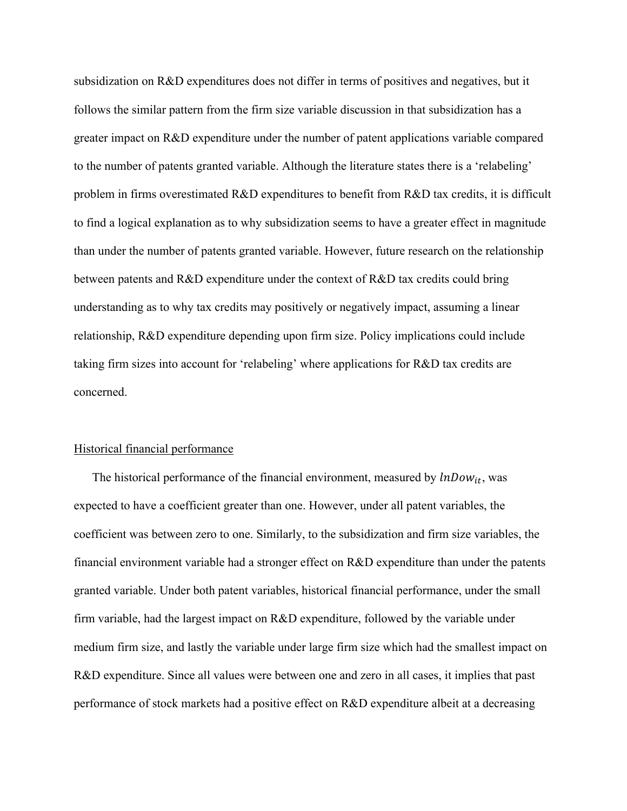subsidization on R&D expenditures does not differ in terms of positives and negatives, but it follows the similar pattern from the firm size variable discussion in that subsidization has a greater impact on R&D expenditure under the number of patent applications variable compared to the number of patents granted variable. Although the literature states there is a 'relabeling' problem in firms overestimated R&D expenditures to benefit from R&D tax credits, it is difficult to find a logical explanation as to why subsidization seems to have a greater effect in magnitude than under the number of patents granted variable. However, future research on the relationship between patents and R&D expenditure under the context of R&D tax credits could bring understanding as to why tax credits may positively or negatively impact, assuming a linear relationship, R&D expenditure depending upon firm size. Policy implications could include taking firm sizes into account for 'relabeling' where applications for R&D tax credits are concerned.

# Historical financial performance

The historical performance of the financial environment, measured by  $lnDown_{it}$ , was expected to have a coefficient greater than one. However, under all patent variables, the coefficient was between zero to one. Similarly, to the subsidization and firm size variables, the financial environment variable had a stronger effect on R&D expenditure than under the patents granted variable. Under both patent variables, historical financial performance, under the small firm variable, had the largest impact on R&D expenditure, followed by the variable under medium firm size, and lastly the variable under large firm size which had the smallest impact on R&D expenditure. Since all values were between one and zero in all cases, it implies that past performance of stock markets had a positive effect on R&D expenditure albeit at a decreasing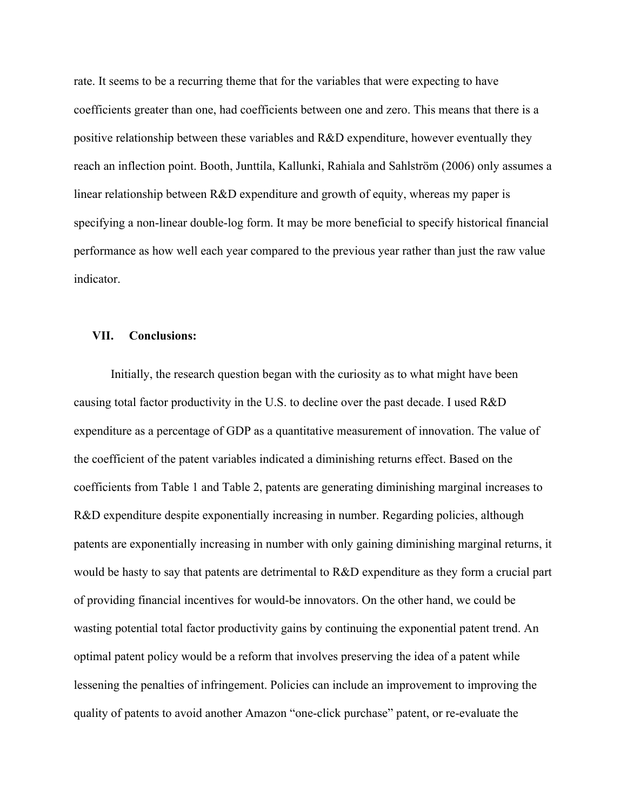rate. It seems to be a recurring theme that for the variables that were expecting to have coefficients greater than one, had coefficients between one and zero. This means that there is a positive relationship between these variables and R&D expenditure, however eventually they reach an inflection point. Booth, Junttila, Kallunki, Rahiala and Sahlström (2006) only assumes a linear relationship between R&D expenditure and growth of equity, whereas my paper is specifying a non-linear double-log form. It may be more beneficial to specify historical financial performance as how well each year compared to the previous year rather than just the raw value indicator.

# **VII. Conclusions:**

 Initially, the research question began with the curiosity as to what might have been causing total factor productivity in the U.S. to decline over the past decade. I used R&D expenditure as a percentage of GDP as a quantitative measurement of innovation. The value of the coefficient of the patent variables indicated a diminishing returns effect. Based on the coefficients from Table 1 and Table 2, patents are generating diminishing marginal increases to R&D expenditure despite exponentially increasing in number. Regarding policies, although patents are exponentially increasing in number with only gaining diminishing marginal returns, it would be hasty to say that patents are detrimental to R&D expenditure as they form a crucial part of providing financial incentives for would-be innovators. On the other hand, we could be wasting potential total factor productivity gains by continuing the exponential patent trend. An optimal patent policy would be a reform that involves preserving the idea of a patent while lessening the penalties of infringement. Policies can include an improvement to improving the quality of patents to avoid another Amazon "one-click purchase" patent, or re-evaluate the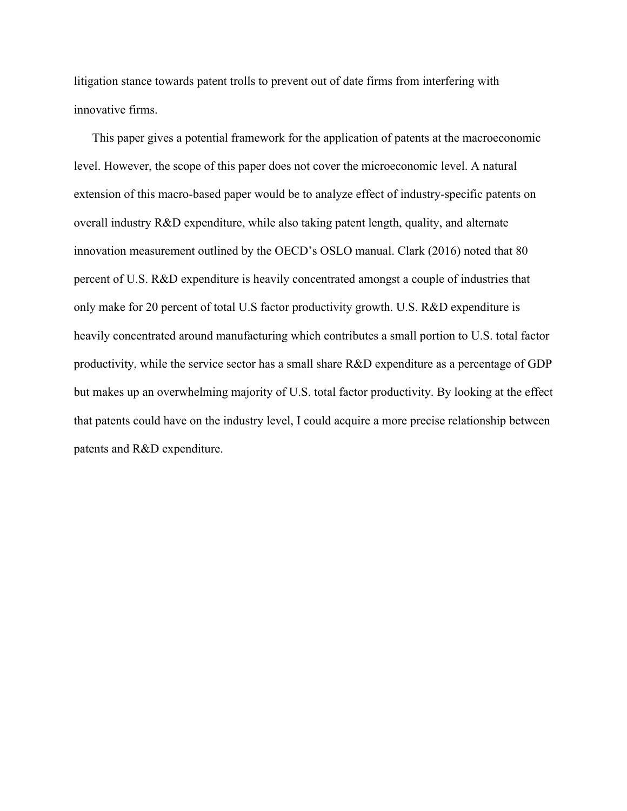litigation stance towards patent trolls to prevent out of date firms from interfering with innovative firms.

This paper gives a potential framework for the application of patents at the macroeconomic level. However, the scope of this paper does not cover the microeconomic level. A natural extension of this macro-based paper would be to analyze effect of industry-specific patents on overall industry R&D expenditure, while also taking patent length, quality, and alternate innovation measurement outlined by the OECD's OSLO manual. Clark (2016) noted that 80 percent of U.S. R&D expenditure is heavily concentrated amongst a couple of industries that only make for 20 percent of total U.S factor productivity growth. U.S. R&D expenditure is heavily concentrated around manufacturing which contributes a small portion to U.S. total factor productivity, while the service sector has a small share R&D expenditure as a percentage of GDP but makes up an overwhelming majority of U.S. total factor productivity. By looking at the effect that patents could have on the industry level, I could acquire a more precise relationship between patents and R&D expenditure.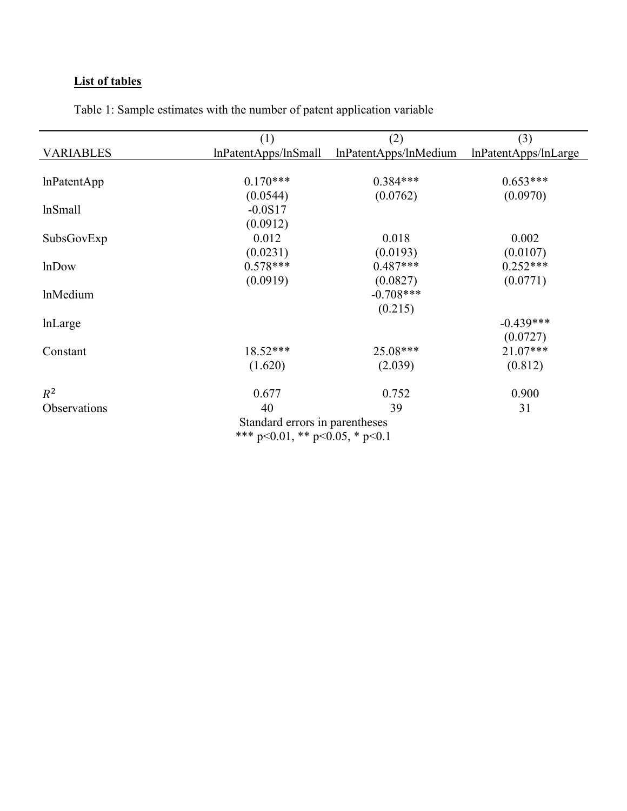# **List of tables**

|                                                                          | (1)                  | (2)                   | (3)                  |
|--------------------------------------------------------------------------|----------------------|-----------------------|----------------------|
| <b>VARIABLES</b>                                                         | lnPatentApps/lnSmall | lnPatentApps/lnMedium | lnPatentApps/lnLarge |
|                                                                          |                      |                       |                      |
| lnPatentApp                                                              | $0.170***$           | $0.384***$            | $0.653***$           |
|                                                                          | (0.0544)             | (0.0762)              | (0.0970)             |
| lnSmall                                                                  | $-0.0S17$            |                       |                      |
|                                                                          | (0.0912)             |                       |                      |
| SubsGovExp                                                               | 0.012                | 0.018                 | 0.002                |
|                                                                          | (0.0231)             | (0.0193)              | (0.0107)             |
| <b>lnDow</b>                                                             | $0.578***$           | $0.487***$            | $0.252***$           |
|                                                                          | (0.0919)             | (0.0827)              | (0.0771)             |
| lnMedium                                                                 |                      | $-0.708***$           |                      |
|                                                                          |                      | (0.215)               |                      |
| lnLarge                                                                  |                      |                       | $-0.439***$          |
|                                                                          |                      |                       | (0.0727)             |
| Constant                                                                 | $18.52***$           | 25.08***              | $21.07***$           |
|                                                                          | (1.620)              | (2.039)               | (0.812)              |
| $R^2$                                                                    | 0.677                | 0.752                 | 0.900                |
| Observations                                                             | 40                   | 39                    | 31                   |
| Standard errors in parentheses<br>*** $p<0.01$ , ** $p<0.05$ , * $p<0.1$ |                      |                       |                      |

Table 1: Sample estimates with the number of patent application variable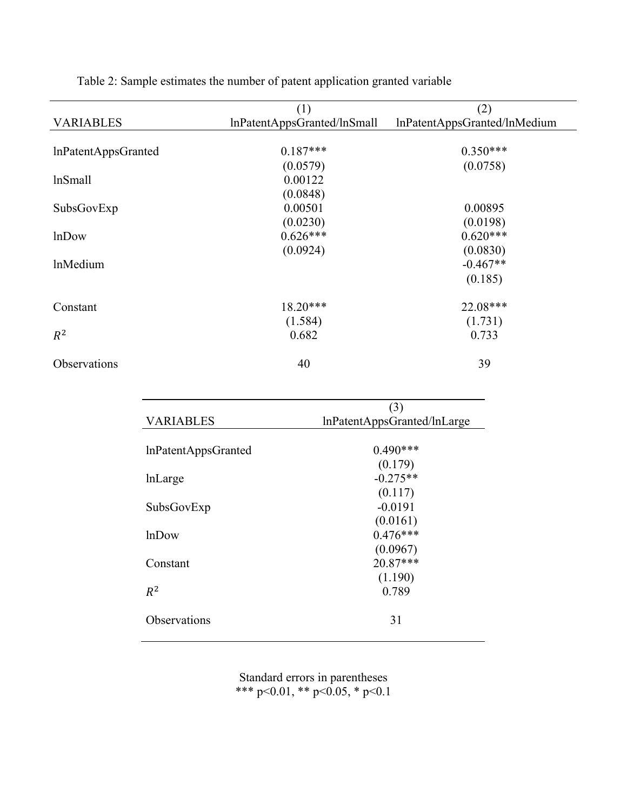|                            | (1)                         | (2)                          |
|----------------------------|-----------------------------|------------------------------|
| <b>VARIABLES</b>           | lnPatentAppsGranted/lnSmall | lnPatentAppsGranted/lnMedium |
|                            |                             |                              |
| <b>InPatentAppsGranted</b> | $0.187***$                  | $0.350***$                   |
|                            | (0.0579)                    | (0.0758)                     |
| lnSmall                    | 0.00122                     |                              |
|                            | (0.0848)                    |                              |
| SubsGovExp                 | 0.00501                     | 0.00895                      |
|                            | (0.0230)                    | (0.0198)                     |
| <b>lnDow</b>               | $0.626***$                  | $0.620***$                   |
|                            | (0.0924)                    | (0.0830)                     |
| <b>lnMedium</b>            |                             | $-0.467**$                   |
|                            |                             | (0.185)                      |
| Constant                   | $18.20***$                  | 22.08***                     |
|                            | (1.584)                     | (1.731)                      |
| $R^2$                      | 0.682                       | 0.733                        |
| Observations               | 40                          | 39                           |
|                            |                             |                              |

Table 2: Sample estimates the number of patent application granted variable

|                     | (3)                         |
|---------------------|-----------------------------|
| <b>VARIABLES</b>    | lnPatentAppsGranted/lnLarge |
| InPatentAppsGranted | $0.490***$                  |
|                     | (0.179)                     |
| lnLarge             | $-0.275**$                  |
|                     | (0.117)                     |
| SubsGovExp          | $-0.0191$                   |
|                     | (0.0161)                    |
| <b>lnDow</b>        | $0.476***$                  |
|                     | (0.0967)                    |
| Constant            | $20.87***$                  |
|                     | (1.190)                     |
| $R^2$               | 0.789                       |
| Observations        | 31                          |
|                     |                             |

Standard errors in parentheses \*\*\* p<0.01, \*\* p<0.05, \* p<0.1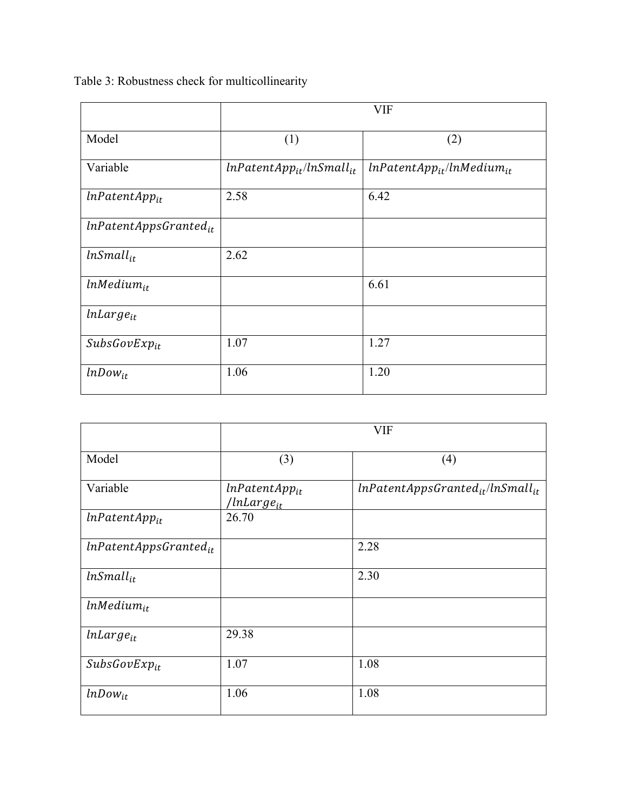|                             | <b>VIF</b>                      |                                  |  |
|-----------------------------|---------------------------------|----------------------------------|--|
| Model                       | (1)                             | (2)                              |  |
| Variable                    | $lnPatentApp_{it}/lnSmall_{it}$ | $lnPatentApp_{it}/lnMedian_{it}$ |  |
| $lnPatentApp_{it}$          | 2.58                            | 6.42                             |  |
| $In PatentAppsGranted_{it}$ |                                 |                                  |  |
| $lnSmall_{it}$              | 2.62                            |                                  |  |
| $lnMedian_{it}$             |                                 | 6.61                             |  |
| $lnLarge_{it}$              |                                 |                                  |  |
| $SubsGovExp_{it}$           | 1.07                            | 1.27                             |  |
| $lnDown_{it}$               | 1.06                            | 1.20                             |  |

Table 3: Robustness check for multicollinearity

|                            | <b>VIF</b>                                   |                                         |  |
|----------------------------|----------------------------------------------|-----------------------------------------|--|
| Model                      | (3)                                          | (4)                                     |  |
| Variable                   | $lnPatentApp_{it}$<br>'lnLarge <sub>it</sub> | $lnPatentAppsGranted_{it}/lnSmall_{it}$ |  |
| $lnPatentApp_{it}$         | 26.70                                        |                                         |  |
| $lnPatentAppsGranted_{it}$ |                                              | 2.28                                    |  |
| $lnSmall_{it}$             |                                              | 2.30                                    |  |
| $lnMedian_{it}$            |                                              |                                         |  |
| $lnLarge_{it}$             | 29.38                                        |                                         |  |
| $SubsGovExp_{it}$          | 1.07                                         | 1.08                                    |  |
| $lnDown_{it}$              | 1.06                                         | 1.08                                    |  |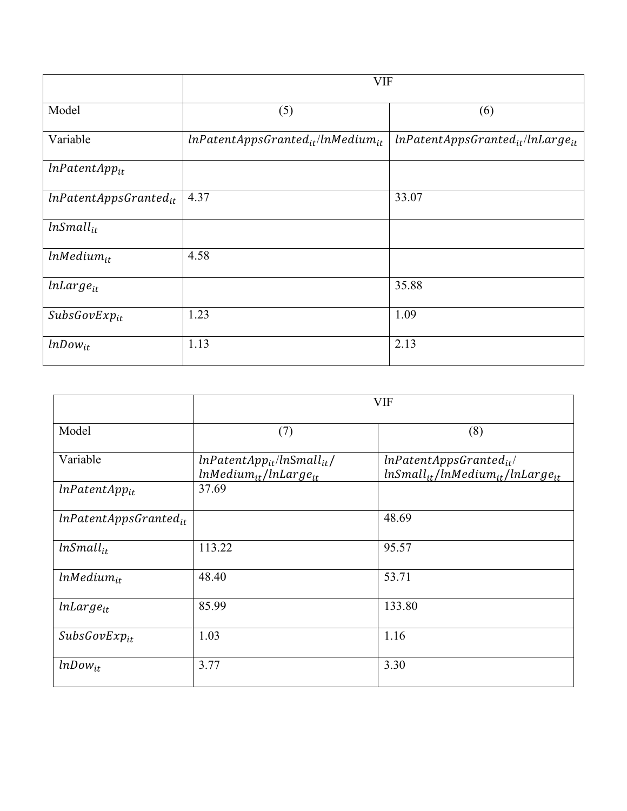|                            | <b>VIF</b>                                |                                         |  |
|----------------------------|-------------------------------------------|-----------------------------------------|--|
| Model                      | (5)                                       | (6)                                     |  |
| Variable                   | $lnPatentAppsGranted_{it}/ln Medium_{it}$ | $lnPatentAppsGranted_{it}/lnLarge_{it}$ |  |
| $lnPatentApp_{it}$         |                                           |                                         |  |
| $lnPatentAppsGranted_{it}$ | 4.37                                      | 33.07                                   |  |
| $lnSmall_{it}$             |                                           |                                         |  |
| $lnMedian_{it}$            | 4.58                                      |                                         |  |
| $lnLarge_{it}$             |                                           | 35.88                                   |  |
| $SubsGovExp_{it}$          | 1.23                                      | 1.09                                    |  |
| $lnDown_{it}$              | 1.13                                      | 2.13                                    |  |

|                             | <b>VIF</b>                                                       |                                                                         |  |
|-----------------------------|------------------------------------------------------------------|-------------------------------------------------------------------------|--|
| Model                       | (7)                                                              | (8)                                                                     |  |
| Variable                    | $lnPatentApp_{it}/lnSmall_{it}/$<br>$lnMedian_{it}/lnLarge_{it}$ | $lnPatentAppsGranted_{it}$<br>$lnSmall_{it}/lnMedian_{it}/lnLarge_{it}$ |  |
| $lnPatentApp_{it}$          | 37.69                                                            |                                                                         |  |
| $In PatentAppsGranted_{it}$ |                                                                  | 48.69                                                                   |  |
| $lnSmall_{it}$              | 113.22                                                           | 95.57                                                                   |  |
| $lnMedian_{it}$             | 48.40                                                            | 53.71                                                                   |  |
| $lnLarge_{it}$              | 85.99                                                            | 133.80                                                                  |  |
| $SubsGovExp_{it}$           | 1.03                                                             | 1.16                                                                    |  |
| $lnDown_{it}$               | 3.77                                                             | 3.30                                                                    |  |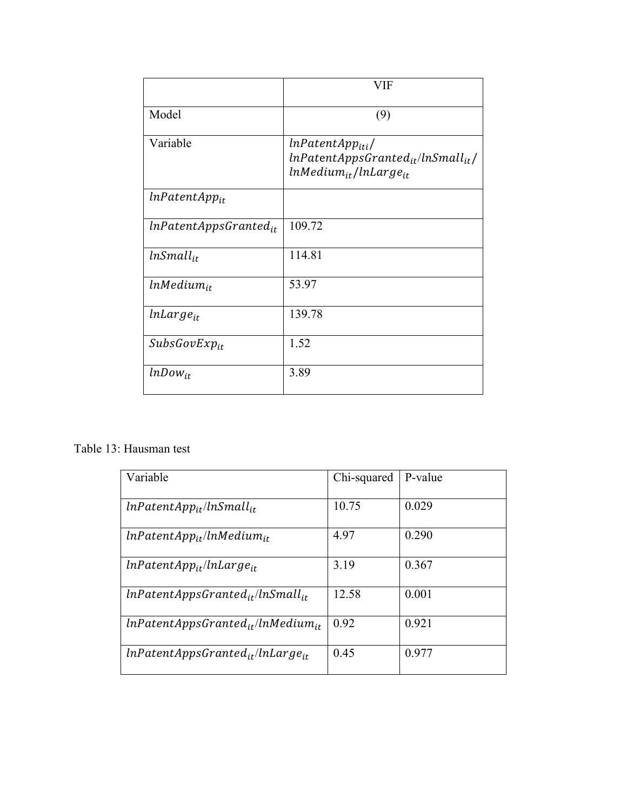|                            | VIF                                                                                                      |
|----------------------------|----------------------------------------------------------------------------------------------------------|
| Model                      | (9)                                                                                                      |
| Variable                   | lnPatentApp <sub>iti</sub> /<br>$lnPatentAppsGranted_{it}/lnSmall_{it}/$<br>$lnMedian_{it}/lnLarge_{it}$ |
| $lnPatentApp_{it}$         |                                                                                                          |
| $lnPatentAppsGranted_{it}$ | 109.72                                                                                                   |
| $lnSmall_{it}$             | 114.81                                                                                                   |
| $lnMedian_{it}$            | 53.97                                                                                                    |
| $lnLarge_{it}$             | 139.78                                                                                                   |
| $SubsGovExp_{it}$          | 1.52                                                                                                     |
| $lnDown_{it}$              | 3.89                                                                                                     |

Table 13: Hausman test

| Variable                                  | Chi-squared | P-value |
|-------------------------------------------|-------------|---------|
| $lnPatentApp_{it}/lnSmall_{it}$           | 10.75       | 0.029   |
| $lnPatentApp_{it}/lnMedium_{it}$          | 4.97        | 0.290   |
| $lnPatentApp_{it}/lnLarge_{it}$           | 3.19        | 0.367   |
| $lnPatentAppsGranted_{it}/lnSmall_{it}$   | 12.58       | 0.001   |
| $lnPatentAppsGranted_{it}/ln Medium_{it}$ | 0.92        | 0.921   |
| $lnPatentAppsGranted_{it}/lnLarge_{it}$   | 0.45        | 0.977   |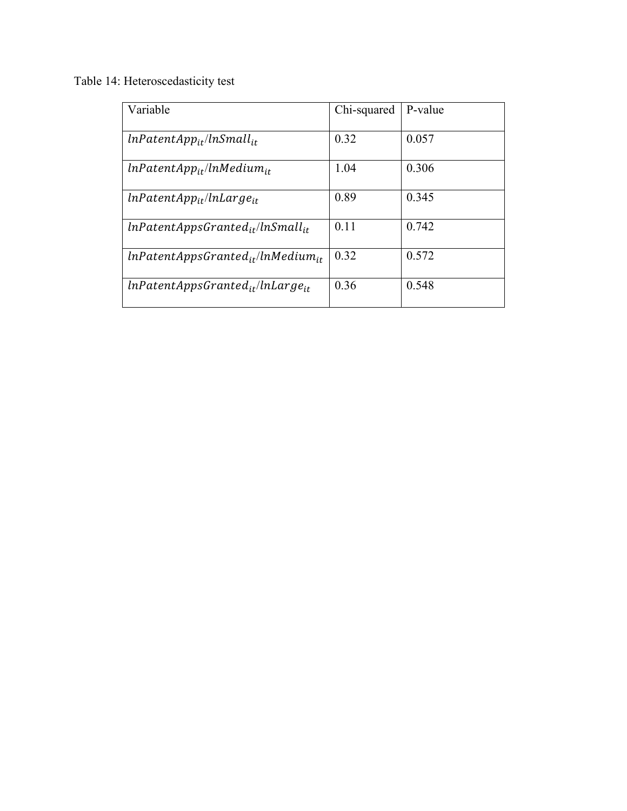Table 14: Heteroscedasticity test

| Variable                                 | Chi-squared | P-value |
|------------------------------------------|-------------|---------|
| $lnPatentApp_{it}/lnSmall_{it}$          | 0.32        | 0.057   |
| $lnPatentApp_{it}/lnMedium_{it}$         | 1.04        | 0.306   |
| $lnPatentApp_{it}/lnLarge_{it}$          | 0.89        | 0.345   |
| $lnPatentAppsGranted_{it}/lnSmall_{it}$  | 0.11        | 0.742   |
| $lnPatentAppsGranted_{it}/lnMedian_{it}$ | 0.32        | 0.572   |
| $lnPatentAppsGranted_{it}/lnLarge_{it}$  | 0.36        | 0.548   |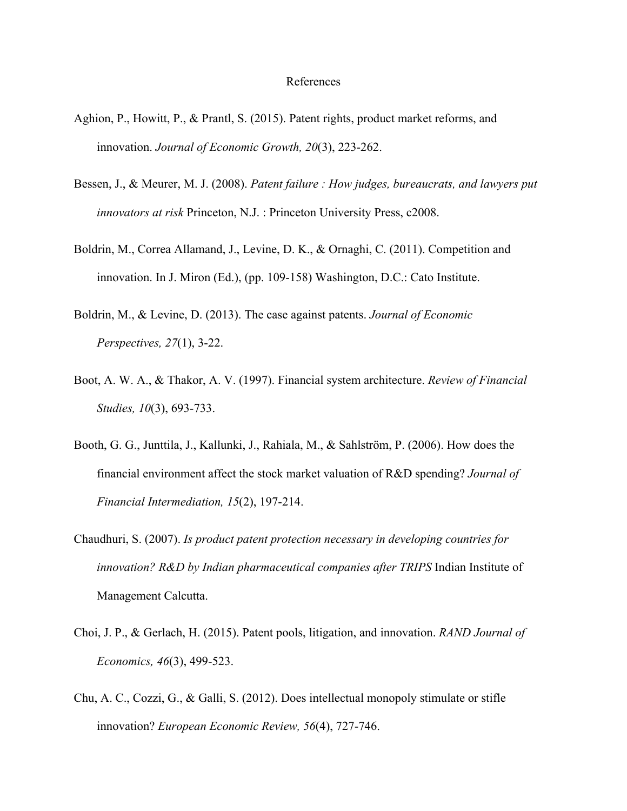#### References

- Aghion, P., Howitt, P., & Prantl, S. (2015). Patent rights, product market reforms, and innovation. *Journal of Economic Growth, 20*(3), 223-262.
- Bessen, J., & Meurer, M. J. (2008). *Patent failure : How judges, bureaucrats, and lawyers put innovators at risk* Princeton, N.J. : Princeton University Press, c2008.
- Boldrin, M., Correa Allamand, J., Levine, D. K., & Ornaghi, C. (2011). Competition and innovation. In J. Miron (Ed.), (pp. 109-158) Washington, D.C.: Cato Institute.
- Boldrin, M., & Levine, D. (2013). The case against patents. *Journal of Economic Perspectives, 27*(1), 3-22.
- Boot, A. W. A., & Thakor, A. V. (1997). Financial system architecture. *Review of Financial Studies, 10*(3), 693-733.
- Booth, G. G., Junttila, J., Kallunki, J., Rahiala, M., & Sahlström, P. (2006). How does the financial environment affect the stock market valuation of R&D spending? *Journal of Financial Intermediation, 15*(2), 197-214.
- Chaudhuri, S. (2007). *Is product patent protection necessary in developing countries for innovation? R&D by Indian pharmaceutical companies after TRIPS* Indian Institute of Management Calcutta.
- Choi, J. P., & Gerlach, H. (2015). Patent pools, litigation, and innovation. *RAND Journal of Economics, 46*(3), 499-523.
- Chu, A. C., Cozzi, G., & Galli, S. (2012). Does intellectual monopoly stimulate or stifle innovation? *European Economic Review, 56*(4), 727-746.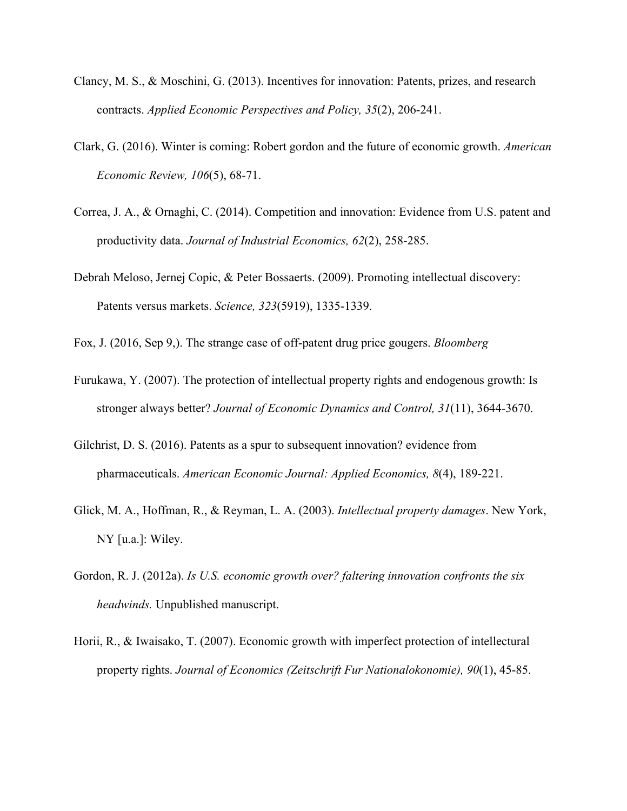- Clancy, M. S., & Moschini, G. (2013). Incentives for innovation: Patents, prizes, and research contracts. *Applied Economic Perspectives and Policy, 35*(2), 206-241.
- Clark, G. (2016). Winter is coming: Robert gordon and the future of economic growth. *American Economic Review, 106*(5), 68-71.
- Correa, J. A., & Ornaghi, C. (2014). Competition and innovation: Evidence from U.S. patent and productivity data. *Journal of Industrial Economics, 62*(2), 258-285.
- Debrah Meloso, Jernej Copic, & Peter Bossaerts. (2009). Promoting intellectual discovery: Patents versus markets. *Science, 323*(5919), 1335-1339.
- Fox, J. (2016, Sep 9,). The strange case of off-patent drug price gougers. *Bloomberg*
- Furukawa, Y. (2007). The protection of intellectual property rights and endogenous growth: Is stronger always better? *Journal of Economic Dynamics and Control, 31*(11), 3644-3670.
- Gilchrist, D. S. (2016). Patents as a spur to subsequent innovation? evidence from pharmaceuticals. *American Economic Journal: Applied Economics, 8*(4), 189-221.
- Glick, M. A., Hoffman, R., & Reyman, L. A. (2003). *Intellectual property damages*. New York, NY [u.a.]: Wiley.
- Gordon, R. J. (2012a). *Is U.S. economic growth over? faltering innovation confronts the six headwinds.* Unpublished manuscript.
- Horii, R., & Iwaisako, T. (2007). Economic growth with imperfect protection of intellectural property rights. *Journal of Economics (Zeitschrift Fur Nationalokonomie), 90*(1), 45-85.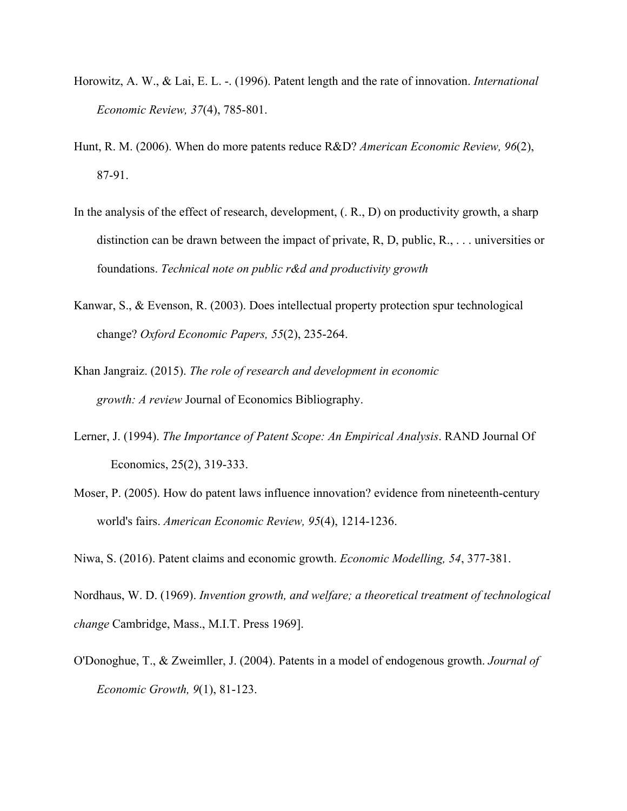- Horowitz, A. W., & Lai, E. L. -. (1996). Patent length and the rate of innovation. *International Economic Review, 37*(4), 785-801.
- Hunt, R. M. (2006). When do more patents reduce R&D? *American Economic Review, 96*(2), 87-91.
- In the analysis of the effect of research, development, (. R., D) on productivity growth, a sharp distinction can be drawn between the impact of private, R, D, public, R., . . . universities or foundations. *Technical note on public r&d and productivity growth*
- Kanwar, S., & Evenson, R. (2003). Does intellectual property protection spur technological change? *Oxford Economic Papers, 55*(2), 235-264.
- Khan Jangraiz. (2015). *The role of research and development in economic growth: A review* Journal of Economics Bibliography.
- Lerner, J. (1994). *The Importance of Patent Scope: An Empirical Analysis*. RAND Journal Of Economics, 25(2), 319-333.
- Moser, P. (2005). How do patent laws influence innovation? evidence from nineteenth-century world's fairs. *American Economic Review, 95*(4), 1214-1236.

Niwa, S. (2016). Patent claims and economic growth. *Economic Modelling, 54*, 377-381.

Nordhaus, W. D. (1969). *Invention growth, and welfare; a theoretical treatment of technological change* Cambridge, Mass., M.I.T. Press 1969].

O'Donoghue, T., & Zweimller, J. (2004). Patents in a model of endogenous growth. *Journal of Economic Growth, 9*(1), 81-123.